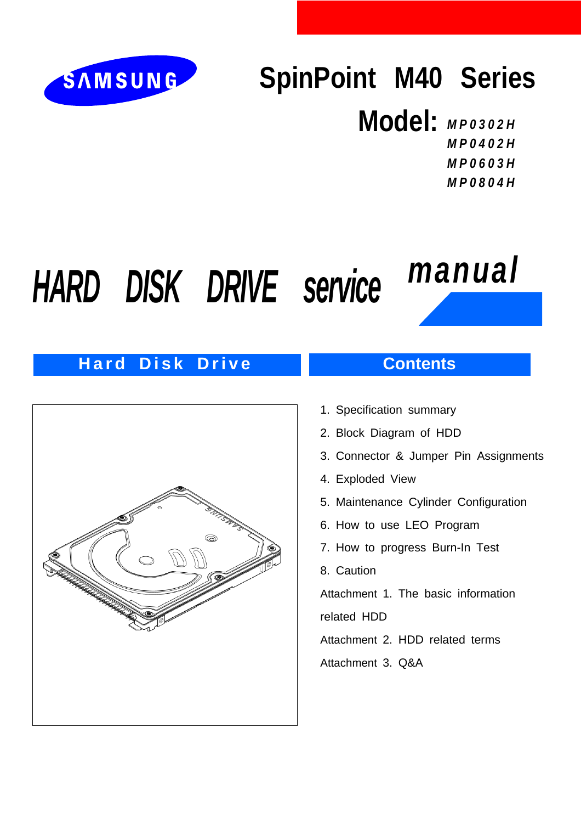

## **SpinPoint M40 Series**

## **Model:** *MP0302H MP0402H MP0603H*

*MP0804H*

# *HARD DISK DRIVE service manual*

## **Hard Disk Drive**



## **Contents**

- 1. Specification summary
- 2. Block Diagram of HDD
- 3. Connector & Jumper Pin Assignments
- 4. Exploded View
- 5. Maintenance Cylinder Configuration
- 6. How to use LEO Program
- 7. How to progress Burn-In Test
- 8. Caution

Attachment 1. The basic information related HDD

Attachment 2. HDD related terms

Attachment 3. Q&A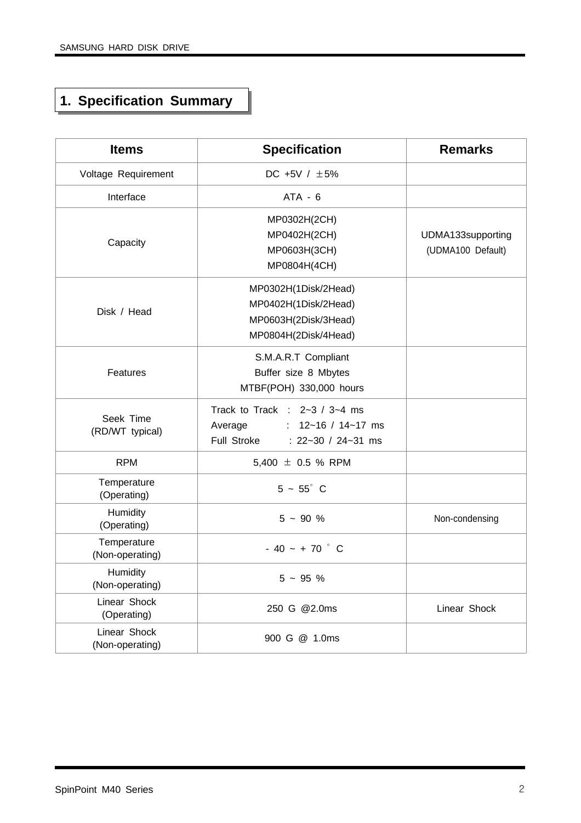## **1. Specification Summary**

| <b>Items</b>                    | <b>Specification</b>                                                                                            | <b>Remarks</b>                         |
|---------------------------------|-----------------------------------------------------------------------------------------------------------------|----------------------------------------|
| Voltage Requirement             | DC +5V / $\pm 5\%$                                                                                              |                                        |
| Interface                       | $ATA - 6$                                                                                                       |                                        |
| Capacity                        | MP0302H(2CH)<br>MP0402H(2CH)<br>MP0603H(3CH)<br>MP0804H(4CH)                                                    | UDMA133supporting<br>(UDMA100 Default) |
| Disk / Head                     | MP0302H(1Disk/2Head)<br>MP0402H(1Disk/2Head)<br>MP0603H(2Disk/3Head)<br>MP0804H(2Disk/4Head)                    |                                        |
| Features                        | S.M.A.R.T Compliant<br>Buffer size 8 Mbytes<br>MTBF(POH) 330,000 hours                                          |                                        |
| Seek Time<br>(RD/WT typical)    | Track to Track : $2-3/3-4$ ms<br>: $12 - 16 / 14 - 17$ ms<br>Average<br>Full Stroke<br>: $22 - 30 / 24 - 31$ ms |                                        |
| <b>RPM</b>                      | 5,400 $\pm$ 0.5 % RPM                                                                                           |                                        |
| Temperature<br>(Operating)      | $5 - 55^{\circ}$ C                                                                                              |                                        |
| Humidity<br>(Operating)         | $5 - 90 %$                                                                                                      | Non-condensing                         |
| Temperature<br>(Non-operating)  | $-40 - +70$ ° C                                                                                                 |                                        |
| Humidity<br>(Non-operating)     | $5 - 95 %$                                                                                                      |                                        |
| Linear Shock<br>(Operating)     | 250 G @2.0ms                                                                                                    | Linear Shock                           |
| Linear Shock<br>(Non-operating) | 900 G @ 1.0ms                                                                                                   |                                        |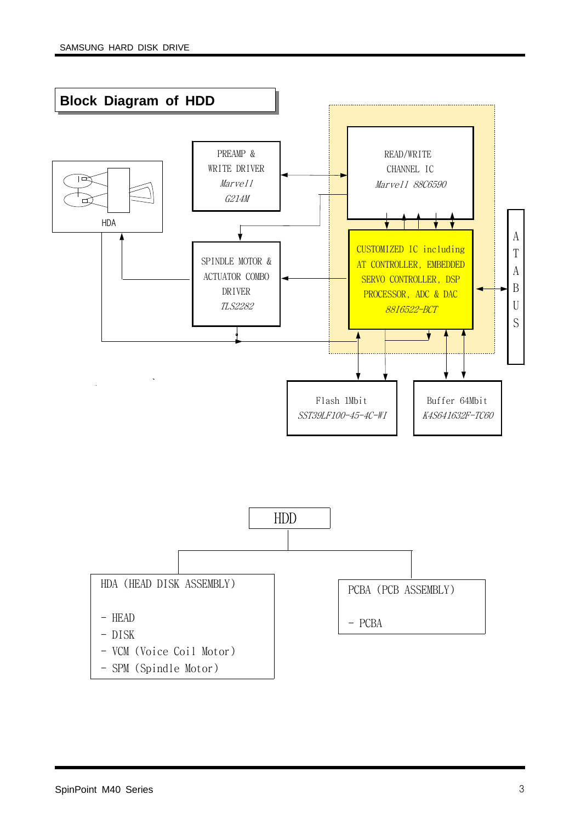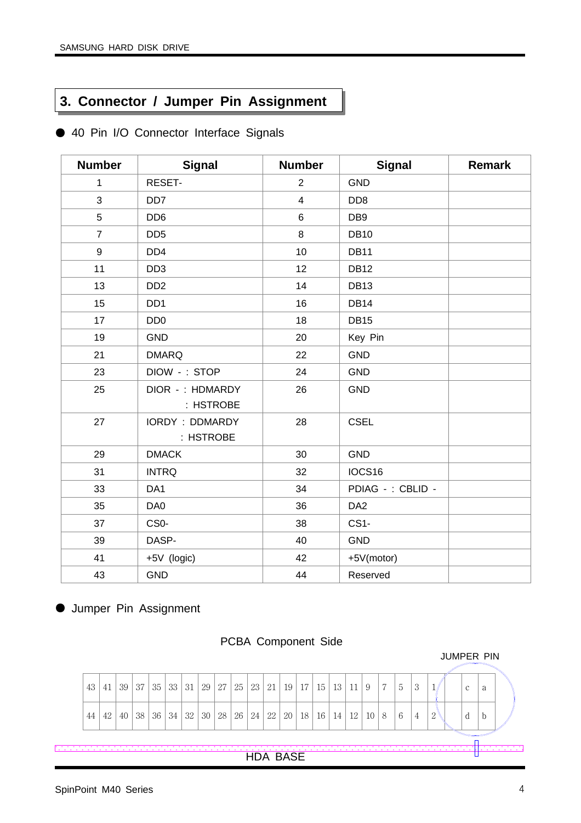## **3. Connector / Jumper Pin Assignment**

|  |  |  |  | 40 Pin I/O Connector Interface Signals |  |  |
|--|--|--|--|----------------------------------------|--|--|
|--|--|--|--|----------------------------------------|--|--|

| <b>Number</b>  | <b>Signal</b>                      | <b>Number</b>           | <b>Signal</b>     | Remark |
|----------------|------------------------------------|-------------------------|-------------------|--------|
| 1              | RESET-                             | $\overline{2}$          | <b>GND</b>        |        |
| 3              | DD <sub>7</sub>                    | $\overline{\mathbf{4}}$ | DD <sub>8</sub>   |        |
| 5              | DD <sub>6</sub>                    | $\,6$                   | DB <sub>9</sub>   |        |
| $\overline{7}$ | DD <sub>5</sub>                    | 8                       | <b>DB10</b>       |        |
| 9              | DD <sub>4</sub>                    | 10                      | <b>DB11</b>       |        |
| 11             | DD <sub>3</sub>                    | 12                      | <b>DB12</b>       |        |
| 13             | DD <sub>2</sub>                    | 14                      | <b>DB13</b>       |        |
| 15             | DD <sub>1</sub>                    | 16                      | <b>DB14</b>       |        |
| 17             | DD <sub>0</sub>                    | 18                      | <b>DB15</b>       |        |
| 19             | <b>GND</b>                         | 20                      | Key Pin           |        |
| 21             | <b>DMARQ</b>                       | 22                      | <b>GND</b>        |        |
| 23             | DIOW -: STOP                       | 24                      | <b>GND</b>        |        |
| 25             | DIOR -: HDMARDY<br>: HSTROBE       | 26                      | <b>GND</b>        |        |
| 27             | <b>IORDY: DDMARDY</b><br>: HSTROBE | 28                      | <b>CSEL</b>       |        |
| 29             | <b>DMACK</b>                       | 30                      | <b>GND</b>        |        |
| 31             | <b>INTRQ</b>                       | 32                      | IOCS16            |        |
| 33             | DA <sub>1</sub>                    | 34                      | PDIAG - : CBLID - |        |
| 35             | DA0                                | 36                      | DA <sub>2</sub>   |        |
| 37             | CS <sub>0</sub> -                  | 38                      | CS <sub>1</sub> - |        |
| 39             | DASP-                              | 40                      | <b>GND</b>        |        |
| 41             | +5V (logic)                        | 42                      | +5V(motor)        |        |
| 43             | <b>GND</b>                         | 44                      | Reserved          |        |

● Jumper Pin Assignment



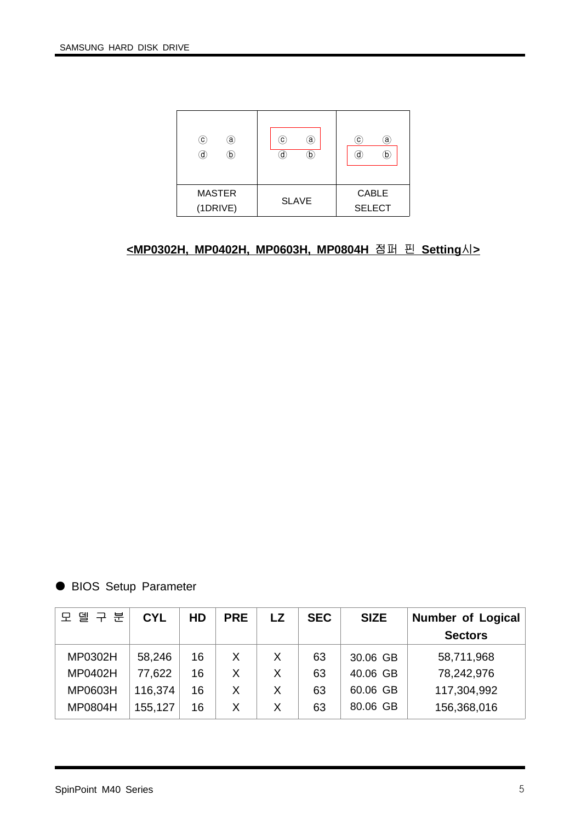| $\left( 0\right)$<br>ā,<br>d)<br>O. | C)<br>a)<br>b | $\mathbf{C}$<br>ā<br>d.<br>D  |
|-------------------------------------|---------------|-------------------------------|
| <b>MASTER</b><br>(1DRIVE)           | <b>SLAVE</b>  | <b>CABLE</b><br><b>SELECT</b> |

## **<MP0302H, MP0402H, MP0603H, MP0804H** 점퍼 핀 **Setting**시**>**

● BIOS Setup Parameter

| 모 델 구 분        | <b>CYL</b> | HD | <b>PRE</b> | <b>LZ</b> | <b>SEC</b> | <b>SIZE</b> | Number of Logical |
|----------------|------------|----|------------|-----------|------------|-------------|-------------------|
|                |            |    |            |           |            |             | <b>Sectors</b>    |
| MP0302H        | 58,246     | 16 | Χ          | X         | 63         | 30.06 GB    | 58,711,968        |
| MP0402H        | 77,622     | 16 |            | X         | 63         | 40.06 GB    | 78,242,976        |
| MP0603H        | 116,374    | 16 | Χ          | Χ         | 63         | 60.06 GB    | 117,304,992       |
| <b>MP0804H</b> | 155,127    | 16 | Χ          | X         | 63         | 80.06 GB    | 156,368,016       |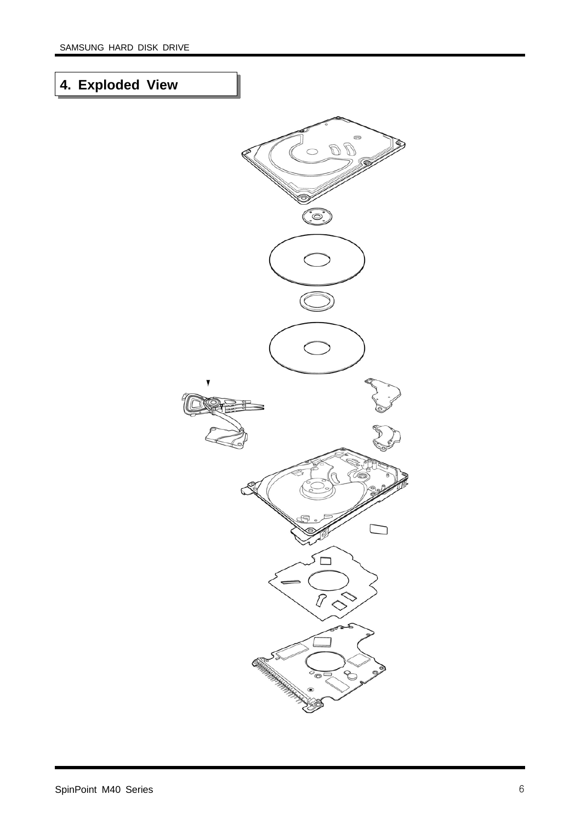## **4. Exploded View**

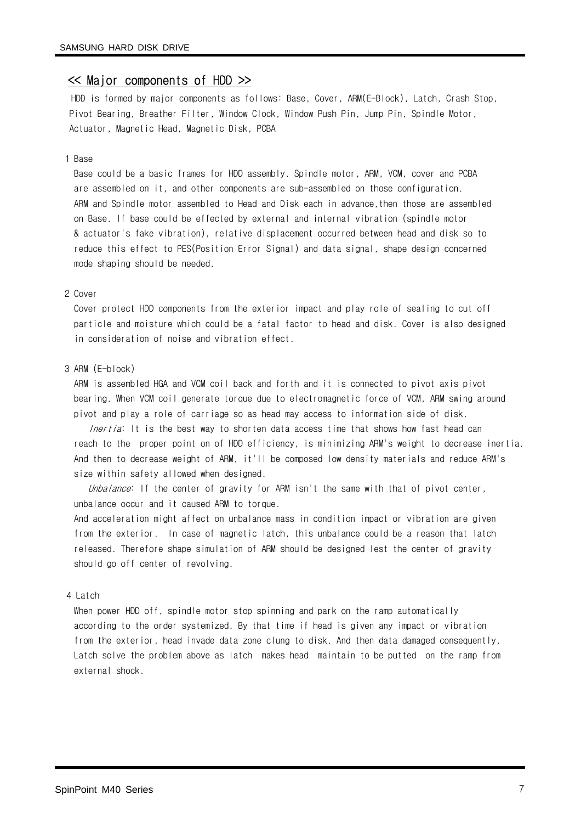#### << Major components of HDD >>

HDD is formed by major components as follows: Base, Cover, ARM(E-Block), Latch, Crash Stop, Pivot Bearing, Breather Filter, Window Clock, Window Push Pin, Jump Pin, Spindle Motor, Actuator, Magnetic Head, Magnetic Disk, PCBA

#### 1 Base

Base could be a basic frames for HDD assembly. Spindle motor, ARM, VCM, cover and PCBA are assembled on it, and other components are sub-assembled on those configuration. ARM and Spindle motor assembled to Head and Disk each in advance,then those are assembled on Base. If base could be effected by external and internal vibration (spindle motor & actuator's fake vibration), relative displacement occurred between head and disk so to reduce this effect to PES(Position Error Signal) and data signal, shape design concerned mode shaping should be needed.

#### 2 Cover

Cover protect HDD components from the exterior impact and play role of sealing to cut off particle and moisture which could be a fatal factor to head and disk. Cover is also designed in consideration of noise and vibration effect.

#### 3 ARM (E-block)

ARM is assembled HGA and VCM coil back and forth and it is connected to pivot axis pivot bearing. When VCM coil generate torque due to electromagnetic force of VCM, ARM swing around pivot and play a role of carriage so as head may access to information side of disk.

Inertia: It is the best way to shorten data access time that shows how fast head can reach to the proper point on of HDD efficiency, is minimizing ARM's weight to decrease inertia. And then to decrease weight of ARM, it'll be composed low density materials and reduce ARM's size within safety allowed when designed.

Unbalance: If the center of gravity for ARM isn't the same with that of pivot center, unbalance occur and it caused ARM to torque.

And acceleration might affect on unbalance mass in condition impact or vibration are given from the exterior. In case of magnetic latch, this unbalance could be a reason that latch released. Therefore shape simulation of ARM should be designed lest the center of gravity should go off center of revolving.

#### 4 Latch

When power HDD off, spindle motor stop spinning and park on the ramp automatically according to the order systemized. By that time if head is given any impact or vibration from the exterior, head invade data zone clung to disk. And then data damaged consequently, Latch solve the problem above as latch makes head maintain to be putted on the ramp from external shock.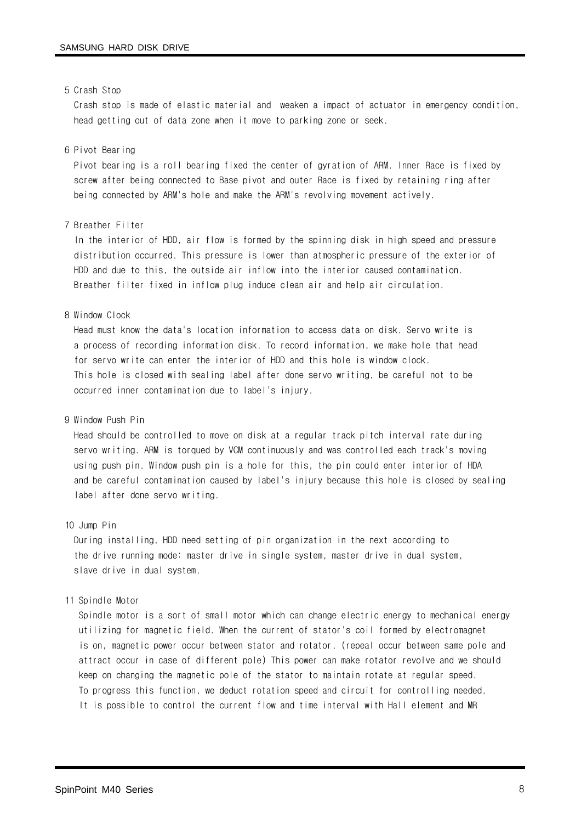#### 5 Crash Stop

Crash stop is made of elastic material and weaken a impact of actuator in emergency condition, head getting out of data zone when it move to parking zone or seek.

#### 6 Pivot Bearing

Pivot bearing is a roll bearing fixed the center of gyration of ARM. Inner Race is fixed by screw after being connected to Base pivot and outer Race is fixed by retaining ring after being connected by ARM's hole and make the ARM's revolving movement actively.

#### 7 Breather Filter

In the interior of HDD, air flow is formed by the spinning disk in high speed and pressure distribution occurred. This pressure is lower than atmospheric pressure of the exterior of HDD and due to this, the outside air inflow into the interior caused contamination. Breather filter fixed in inflow plug induce clean air and help air circulation.

#### 8 Window Clock

Head must know the data's location information to access data on disk. Servo write is a process of recording information disk. To record information, we make hole that head for servo write can enter the interior of HDD and this hole is window clock. This hole is closed with sealing label after done servo writing, be careful not to be occurred inner contamination due to label's injury.

#### 9 Window Push Pin

Head should be controlled to move on disk at a regular track pitch interval rate during servo writing. ARM is torqued by VCM continuously and was controlled each track's moving using push pin. Window push pin is a hole for this, the pin could enter interior of HDA and be careful contamination caused by label's injury because this hole is closed by sealing label after done servo writing.

#### 10 Jump Pin

During installing, HDD need setting of pin organization in the next according to the drive running mode: master drive in single system, master drive in dual system, slave drive in dual system.

#### 11 Spindle Motor

Spindle motor is a sort of small motor which can change electric energy to mechanical energy utilizing for magnetic field. When the current of stator's coil formed by electromagnet is on, magnetic power occur between stator and rotator. (repeal occur between same pole and attract occur in case of different pole) This power can make rotator revolve and we should keep on changing the magnetic pole of the stator to maintain rotate at regular speed. To progress this function, we deduct rotation speed and circuit for controlling needed. It is possible to control the current flow and time interval with Hall element and MR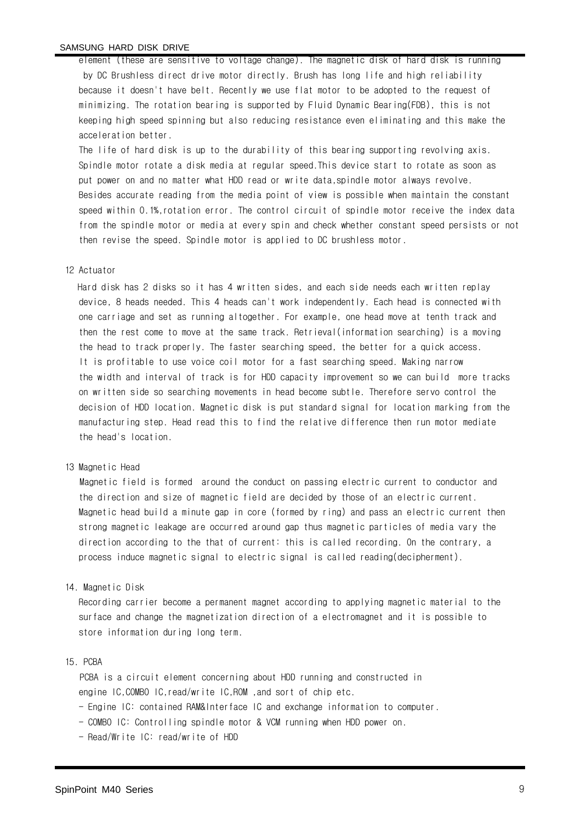#### SAMSUNG HARD DISK DRIVE

element (these are sensitive to voltage change). The magnetic disk of hard disk is running by DC Brushless direct drive motor directly. Brush has long life and high reliability because it doesn't have belt. Recently we use flat motor to be adopted to the request of minimizing. The rotation bearing is supported by Fluid Dynamic Bearing(FDB), this is not keeping high speed spinning but also reducing resistance even eliminating and this make the acceleration better.

The life of hard disk is up to the durability of this bearing supporting revolving axis. Spindle motor rotate a disk media at regular speed.This device start to rotate as soon as put power on and no matter what HDD read or write data,spindle motor always revolve. Besides accurate reading from the media point of view is possible when maintain the constant speed within 0.1%,rotation error. The control circuit of spindle motor receive the index data from the spindle motor or media at every spin and check whether constant speed persists or not then revise the speed. Spindle motor is applied to DC brushless motor.

#### 12 Actuator

Hard disk has 2 disks so it has 4 written sides, and each side needs each written replay device, 8 heads needed. This 4 heads can't work independently. Each head is connected with one carriage and set as running altogether. For example, one head move at tenth track and then the rest come to move at the same track. Retrieval(information searching) is a moving the head to track properly. The faster searching speed, the better for a quick access. It is profitable to use voice coil motor for a fast searching speed. Making narrow the width and interval of track is for HDD capacity improvement so we can build more tracks on written side so searching movements in head become subtle. Therefore servo control the decision of HDD location. Magnetic disk is put standard signal for location marking from the manufacturing step. Head read this to find the relative difference then run motor mediate the head's location.

#### 13 Magnetic Head

Magnetic field is formed around the conduct on passing electric current to conductor and the direction and size of magnetic field are decided by those of an electric current. Magnetic head build a minute gap in core (formed by ring) and pass an electric current then strong magnetic leakage are occurred around gap thus magnetic particles of media vary the direction according to the that of current: this is called recording. On the contrary, a process induce magnetic signal to electric signal is called reading(decipherment).

#### 14. Magnetic Disk

Recording carrier become a permanent magnet according to applying magnetic material to the surface and change the magnetization direction of a electromagnet and it is possible to store information during long term.

#### 15. PCBA

PCBA is a circuit element concerning about HDD running and constructed in engine IC,COMBO IC,read/write IC,ROM ,and sort of chip etc.

- Engine IC: contained RAM&Interface IC and exchange information to computer.
- COMBO IC: Controlling spindle motor & VCM running when HDD power on.
- Read/Write IC: read/write of HDD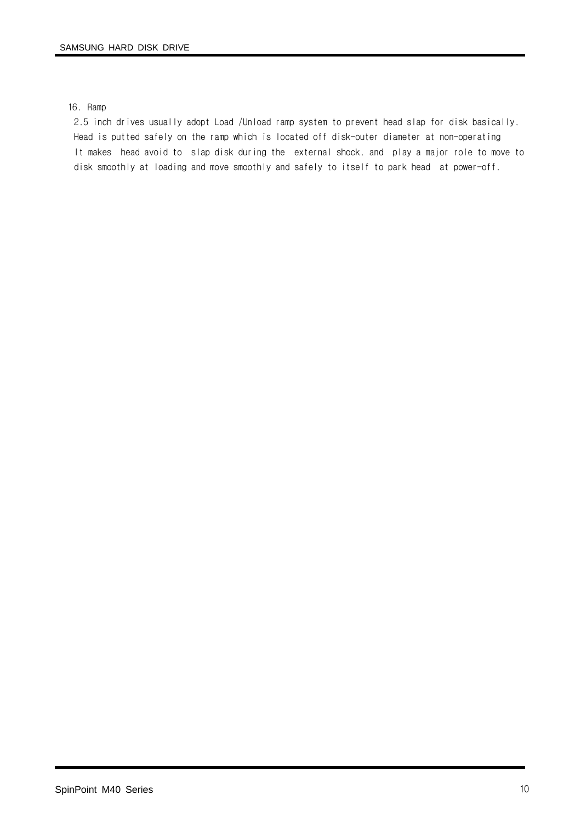#### 16. Ramp

2.5 inch drives usually adopt Load /Unload ramp system to prevent head slap for disk basically. Head is putted safely on the ramp which is located off disk-outer diameter at non-operating It makes head avoid to slap disk during the external shock. and play a major role to move to disk smoothly at loading and move smoothly and safely to itself to park head at power-off.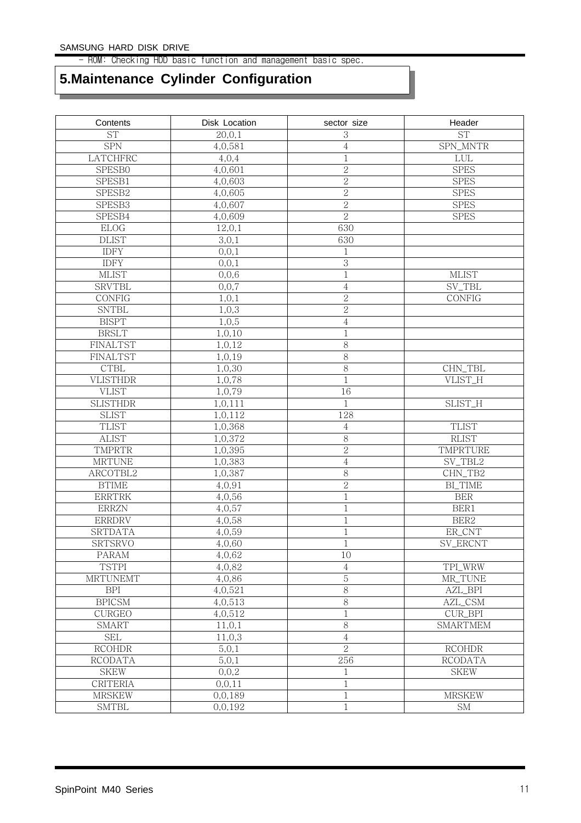- ROM: Checking HDD basic function and management basic spec.

## **5.Maintenance Cylinder Configuration**

| Contents        | Disk Location | sector size    | Header              |
|-----------------|---------------|----------------|---------------------|
| <b>ST</b>       | 20, 0, 1      | 3              | <b>ST</b>           |
| <b>SPN</b>      | 4,0,581       | 4              | SPN_MNTR            |
| LATCHFRC        | 4,0,4         | $\mathbf 1$    | ${\rm LUL}$         |
| SPESB0          | 4,0,601       | $\sqrt{2}$     | <b>SPES</b>         |
| SPESB1          | 4,0,603       | $\overline{2}$ | <b>SPES</b>         |
| SPESB2          | 4,0,605       | $\overline{2}$ | <b>SPES</b>         |
| SPESB3          | 4,0,607       | $\overline{2}$ | <b>SPES</b>         |
| SPESB4          | 4,0,609       | $\overline{2}$ | <b>SPES</b>         |
| <b>ELOG</b>     | 12,0,1        | 630            |                     |
| <b>DLIST</b>    | 3,0,1         | 630            |                     |
| <b>IDFY</b>     | 0, 0, 1       | 1              |                     |
| <b>IDFY</b>     | 0, 0, 1       | 3              |                     |
| <b>MLIST</b>    | 0, 0, 6       | $\,1$          | <b>MLIST</b>        |
| <b>SRVTBL</b>   | 0, 0, 7       | $\,4\,$        | SV_TBL              |
| CONFIG          | 1,0,1         | $\overline{2}$ | CONFIG              |
| <b>SNTBL</b>    | 1,0,3         | $\overline{2}$ |                     |
| <b>BISPT</b>    | 1,0,5         | $\,4\,$        |                     |
| <b>BRSLT</b>    | 1,0,10        | $\,1$          |                     |
| <b>FINALTST</b> | 1,0,12        | 8              |                     |
| FINALTST        | 1,0,19        | 8              |                     |
| <b>CTBL</b>     | 1,0,30        | 8              | CHN_TBL             |
| <b>VLISTHDR</b> | 1,0,78        | $\,1$          | VLIST_H             |
| <b>VLIST</b>    | 1,0,79        | 16             |                     |
| <b>SLISTHDR</b> | 1,0,111       | $\mathbf 1$    | SLIST_H             |
| <b>SLIST</b>    | 1,0,112       | 128            |                     |
| <b>TLIST</b>    | 1,0,368       | 4              | <b>TLIST</b>        |
| <b>ALIST</b>    | 1,0,372       | $8\,$          | <b>RLIST</b>        |
| TMPRTR          | 1,0,395       | $\overline{2}$ | TMPRTURE            |
| <b>MRTUNE</b>   | 1,0,383       | $\overline{4}$ | $\mathrm{SV\_TBL2}$ |
| ARCOTBL2        | 1,0,387       | $8\,$          | CHN_TB2             |
| <b>BTIME</b>    | 4,0,91        | $\overline{c}$ | <b>BI_TIME</b>      |
| <b>ERRTRK</b>   | 4,0,56        | $\,1$          | $\rm BER$           |
| <b>ERRZN</b>    | 4,0,57        | $\,1$          | BER1                |
| <b>ERRDRV</b>   | 4,0,58        | $\,1$          | BER2                |
| <b>SRTDATA</b>  | 4,0,59        | $\,1$          | ER_CNT              |
| SRTSRVO         | 4,0,60        | $\,1$          | SV_ERCNT            |
| PARAM           | 4,0,62        | 10             |                     |
| <b>TSTPI</b>    | 4,0,82        | $\overline{4}$ | TPI_WRW             |
| <b>MRTUNEMT</b> | 4,0,86        | $\overline{5}$ | MR_TUNE             |
| <b>BPI</b>      | 4,0,521       | $\overline{8}$ | AZL_BPI             |
| <b>BPICSM</b>   | 4,0,513       | $\,8\,$        | AZL_CSM             |
| CURGEO          | 4,0,512       | $\mathbf{1}$   | CUR_BPI             |
| <b>SMART</b>    | 11,0,1        | 8              | <b>SMARTMEM</b>     |
| <b>SEL</b>      | 11,0,3        | $\,4\,$        |                     |
| <b>RCOHDR</b>   | 5, 0, 1       | $\overline{2}$ | <b>RCOHDR</b>       |
| <b>RCODATA</b>  | 5, 0, 1       | 256            | <b>RCODATA</b>      |
| <b>SKEW</b>     | 0, 0, 2       | 1              | <b>SKEW</b>         |
| CRITERIA        | 0, 0, 11      | $\,1$          |                     |
| <b>MRSKEW</b>   | 0,0,189       | $\mathbf{1}$   | <b>MRSKEW</b>       |
| <b>SMTBL</b>    | 0, 0, 192     | $\,1$          | <b>SM</b>           |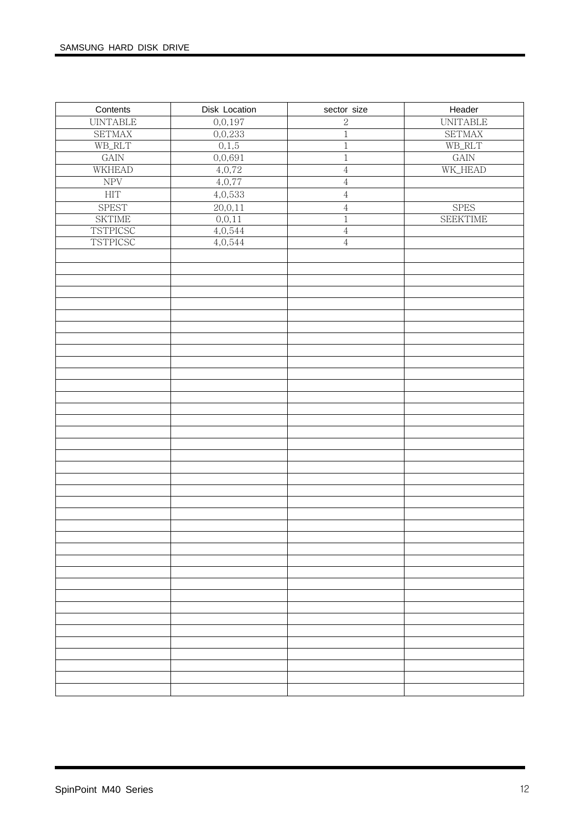| Contents             | Disk Location | sector size    | Header               |
|----------------------|---------------|----------------|----------------------|
| <b>UINTABLE</b>      | 0, 0, 197     | $\overline{2}$ | <b>UNITABLE</b>      |
| <b>SETMAX</b>        | 0,0,233       | $\overline{1}$ | <b>SETMAX</b>        |
| $WB\_RLT$            | 0,1,5         | $\overline{1}$ | WB_RLT               |
| $\operatorname{GAN}$ | 0,0,691       | $\overline{1}$ | $\operatorname{GAN}$ |
| <b>WKHEAD</b>        | 4,0,72        | $\overline{4}$ | WK_HEAD              |
| ${\rm NPV}$          | 4,0,77        | $\overline{4}$ |                      |
| ${\rm HIT}$          | 4,0,533       | $\overline{4}$ |                      |
|                      |               |                |                      |
| <b>SPEST</b>         | 20, 0, 11     | $\,4\,$        | <b>SPES</b>          |
| <b>SKTIME</b>        | 0, 0, 11      | $\overline{1}$ | <b>SEEKTIME</b>      |
| <b>TSTPICSC</b>      | 4,0,544       | $\,4\,$        |                      |
| <b>TSTPICSC</b>      | 4,0,544       | $\,4\,$        |                      |
|                      |               |                |                      |
|                      |               |                |                      |
|                      |               |                |                      |
|                      |               |                |                      |
|                      |               |                |                      |
|                      |               |                |                      |
|                      |               |                |                      |
|                      |               |                |                      |
|                      |               |                |                      |
|                      |               |                |                      |
|                      |               |                |                      |
|                      |               |                |                      |
|                      |               |                |                      |
|                      |               |                |                      |
|                      |               |                |                      |
|                      |               |                |                      |
|                      |               |                |                      |
|                      |               |                |                      |
|                      |               |                |                      |
|                      |               |                |                      |
|                      |               |                |                      |
|                      |               |                |                      |
|                      |               |                |                      |
|                      |               |                |                      |
|                      |               |                |                      |
|                      |               |                |                      |
|                      |               |                |                      |
|                      |               |                |                      |
|                      |               |                |                      |
|                      |               |                |                      |
|                      |               |                |                      |
|                      |               |                |                      |
|                      |               |                |                      |
|                      |               |                |                      |
|                      |               |                |                      |
|                      |               |                |                      |
|                      |               |                |                      |
|                      |               |                |                      |
|                      |               |                |                      |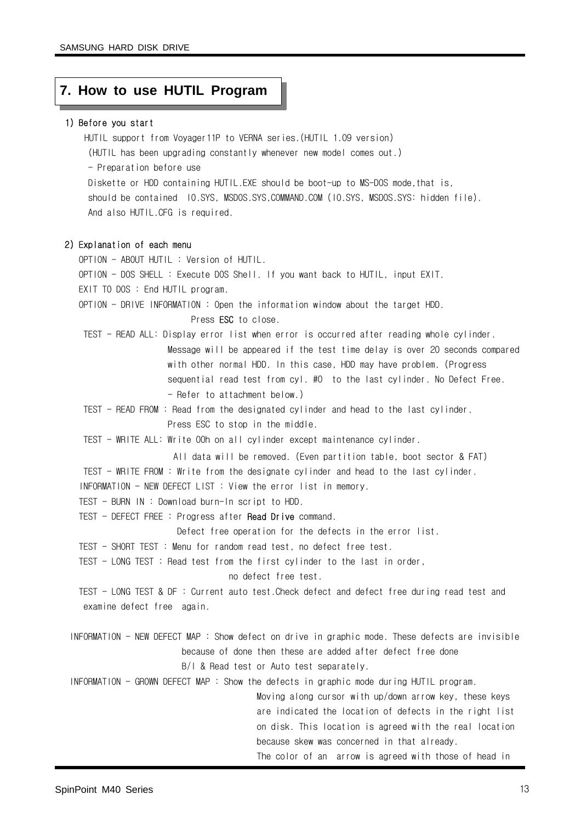#### **7. How to use HUTIL Program**

#### 1) Before you start

HUTIL support from Voyager11P to VERNA series.(HUTIL 1.09 version) (HUTIL has been upgrading constantly whenever new model comes out.) - Preparation before use Diskette or HDD containing HUTIL.EXE should be boot-up to MS-DOS mode,that is, should be contained IO.SYS, MSDOS.SYS,COMMAND.COM (IO.SYS, MSDOS.SYS: hidden file). And also HUTIL.CFG is required.

#### 2) Explanation of each menu

OPTION - ABOUT HUTIL : Version of HUTIL.

OPTION - DOS SHELL : Execute DOS Shell. If you want back to HUTIL, input EXIT.

EXIT TO DOS : End HUTIL program.

OPTION - DRIVE INFORMATION : Open the information window about the target HDD.

Press ESC to close.

TEST - READ ALL: Display error list when error is occurred after reading whole cylinder. Message will be appeared if the test time delay is over 20 seconds compared with other normal HDD. In this case, HDD may have problem. (Progress sequential read test from cyl. #0 to the last cylinder. No Defect Free.

- Refer to attachment below.)

TEST - READ FROM : Read from the designated cylinder and head to the last cylinder. Press ESC to stop in the middle.

TEST - WRITE ALL: Write 00h on all cylinder except maintenance cylinder.

- All data will be removed. (Even partition table, boot sector & FAT) TEST - WRITE FROM : Write from the designate cylinder and head to the last cylinder.
- INFORMATION NEW DEFECT LIST : View the error list in memory.

TEST - BURN IN : Download burn-In script to HDD.

TEST - DEFECT FREE : Progress after **Read Drive** command.

Defect free operation for the defects in the error list.

TEST - SHORT TEST : Menu for random read test, no defect free test.

TEST - LONG TEST : Read test from the first cylinder to the last in order,

no defect free test.

- TEST LONG TEST & DF : Current auto test.Check defect and defect free during read test and examine defect free again.
- INFORMATION NEW DEFECT MAP : Show defect on drive in graphic mode. These defects are invisible because of done then these are added after defect free done

B/I & Read test or Auto test separately.

INFORMATION - GROWN DEFECT MAP : Show the defects in graphic mode during HUTIL program.

Moving along cursor with up/down arrow key, these keys are indicated the location of defects in the right list on disk. This location is agreed with the real location because skew was concerned in that already.

The color of an arrow is agreed with those of head in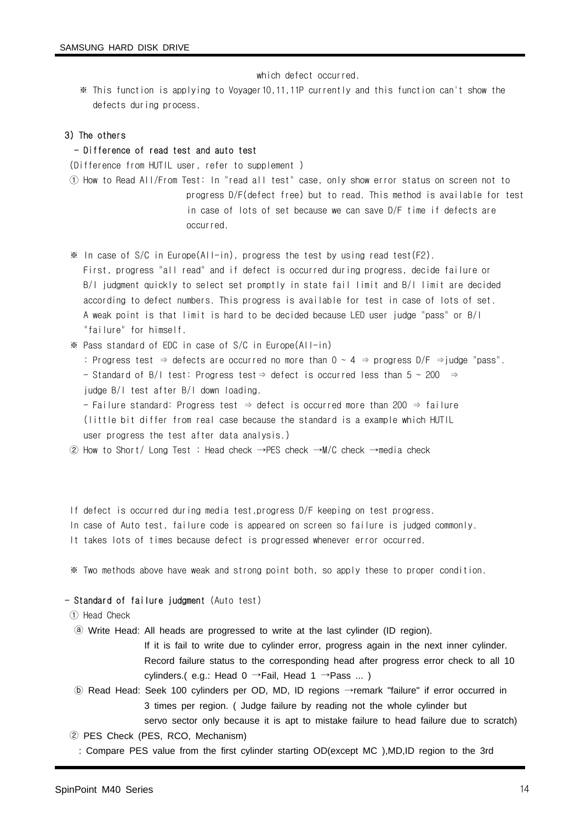which defect occurred.

※ This function is applying to Voyager10,11,11P currently and this function can't show the defects during process.

#### 3) The others

#### - Difference of read test and auto test

(Difference from HUTIL user, refer to supplement )

- ① How to Read All/From Test: In "read all test" case, only show error status on screen not to progress D/F(defect free) but to read. This method is available for test in case of lots of set because we can save D/F time if defects are occurred.
- $*$  In case of S/C in Europe(All-in), progress the test by using read test(F2). First, progress "all read" and if defect is occurred during progress, decide failure or B/I judgment quickly to select set promptly in state fail limit and B/I limit are decided according to defect numbers. This progress is available for test in case of lots of set. A weak point is that limit is hard to be decided because LED user judge "pass" or B/I "failure" for himself.
- ※ Pass standard of EDC in case of S/C in Europe(All-in)
	- : Progress test  $\Rightarrow$  defects are occurred no more than 0 ~ 4  $\Rightarrow$  progress D/F  $\Rightarrow$  judge "pass".
	- Standard of B/I test: Progress test⇒ defect is occurred less than 5 ~ 200 ⇒ judge B/I test after B/I down loading.
	- Failure standard: Progress test ⇒ defect is occurred more than 200 ⇒ failure (little bit differ from real case because the standard is a example which HUTIL user progress the test after data analysis.)

② How to Short/ Long Test : Head check →PES check →M/C check →media check

- If defect is occurred during media test,progress D/F keeping on test progress.
- In case of Auto test, failure code is appeared on screen so failure is judged commonly.
- It takes lots of times because defect is progressed whenever error occurred.

※ Two methods above have weak and strong point both, so apply these to proper condition.

#### - Standard of failure judgment (Auto test)

① Head Check

ⓐ Write Head: All heads are progressed to write at the last cylinder (ID region).

If it is fail to write due to cylinder error, progress again in the next inner cylinder. Record failure status to the corresponding head after progress error check to all 10 cylinders.( e.g.: Head  $0 \rightarrow$ Fail, Head 1  $\rightarrow$  Pass ...)

- ⓑ Read Head: Seek 100 cylinders per OD, MD, ID regions →remark "failure" if error occurred in 3 times per region. ( Judge failure by reading not the whole cylinder but servo sector only because it is apt to mistake failure to head failure due to scratch)
- ② PES Check (PES, RCO, Mechanism)
- : Compare PES value from the first cylinder starting OD(except MC ),MD,ID region to the 3rd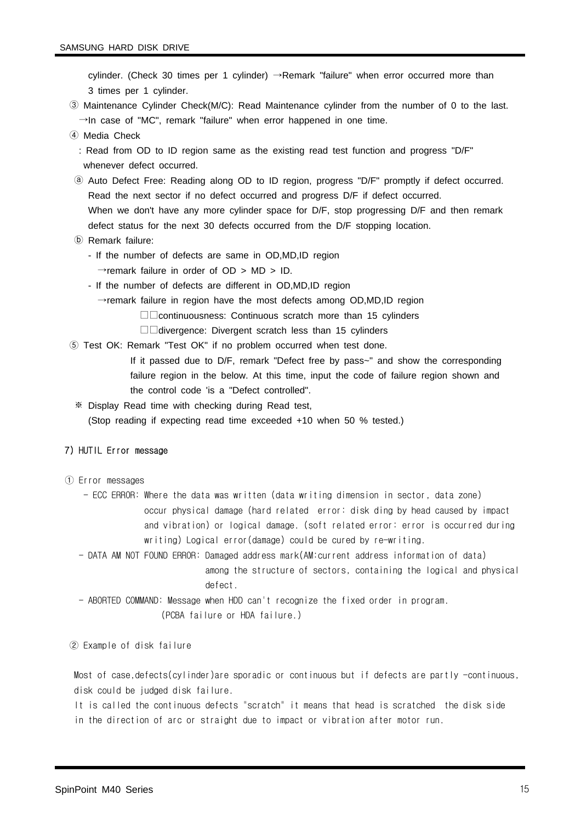cylinder. (Check 30 times per 1 cylinder)  $\rightarrow$ Remark "failure" when error occurred more than 3 times per 1 cylinder.

- ③ Maintenance Cylinder Check(M/C): Read Maintenance cylinder from the number of 0 to the last.  $\rightarrow$ In case of "MC", remark "failure" when error happened in one time.
- ④ Media Check
- : Read from OD to ID region same as the existing read test function and progress "D/F" whenever defect occurred.
- ⓐ Auto Defect Free: Reading along OD to ID region, progress "D/F" promptly if defect occurred. Read the next sector if no defect occurred and progress D/F if defect occurred. When we don't have any more cylinder space for D/F, stop progressing D/F and then remark defect status for the next 30 defects occurred from the D/F stopping location.
- ⓑ Remark failure:
	- If the number of defects are same in OD,MD,ID region
		- $\rightarrow$ remark failure in order of OD > MD > ID.
	- If the number of defects are different in OD,MD,ID region
		- →remark failure in region have the most defects among OD,MD,ID region
			- □□continuousness: Continuous scratch more than 15 cylinders
			- □□divergence: Divergent scratch less than 15 cylinders
- ⑤ Test OK: Remark "Test OK" if no problem occurred when test done.
	- If it passed due to D/F, remark "Defect free by pass~" and show the corresponding failure region in the below. At this time, input the code of failure region shown and the control code 'is a "Defect controlled".
	- ※ Display Read time with checking during Read test, (Stop reading if expecting read time exceeded +10 when 50 % tested.)

#### 7) HUTIL Error message

- ① Error messages
	- ECC ERROR: Where the data was written (data writing dimension in sector, data zone) occur physical damage (hard related error: disk ding by head caused by impact and vibration) or logical damage. (soft related error: error is occurred during writing) Logical error(damage) could be cured by re-writing.
	- DATA AM NOT FOUND ERROR: Damaged address mark(AM:current address information of data) among the structure of sectors, containing the logical and physical defect.
	- ABORTED COMMAND: Message when HDD can't recognize the fixed order in program. (PCBA failure or HDA failure.)

② Example of disk failure

Most of case,defects(cylinder)are sporadic or continuous but if defects are partly -continuous, disk could be judged disk failure.

It is called the continuous defects "scratch" it means that head is scratched the disk side in the direction of arc or straight due to impact or vibration after motor run.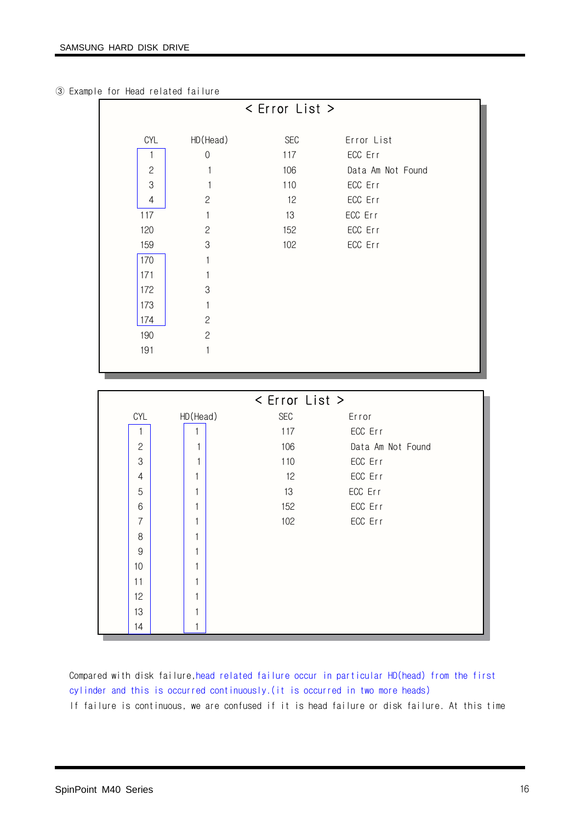③ Example for Head related failure

|                           |                | < Error List > |                   |  |
|---------------------------|----------------|----------------|-------------------|--|
|                           |                |                |                   |  |
| CYL                       | HD (Head)      | SEC            | Error List        |  |
| 1                         | $\mathbf 0$    | 117            | ECC Err           |  |
| $\mathbf{2}$              | 1              | 106            | Data Am Not Found |  |
| $\ensuremath{\mathsf{3}}$ | 1              | 110            | ECC Err           |  |
| $\overline{4}$            | $\overline{c}$ | 12             | ECC Err           |  |
| 117                       | $\mathbf{1}$   | 13             | ECC Err           |  |
| 120                       | $\mathbf{2}$   | 152            | ECC Err           |  |
| 159                       | $\,3$          | 102            | ECC Err           |  |
| 170                       | 1              |                |                   |  |
| 171                       | 1              |                |                   |  |
| 172                       | 3              |                |                   |  |
| 173                       | $\mathbf{1}$   |                |                   |  |
| 174                       | $\mathbf{2}$   |                |                   |  |
| 190                       | $\overline{c}$ |                |                   |  |
| 191                       | $\mathbf{1}$   |                |                   |  |
|                           |                |                |                   |  |
|                           |                |                |                   |  |
|                           |                |                |                   |  |
|                           |                | < Error List > |                   |  |
| CYL                       |                | <b>SEC</b>     | Error             |  |
| 1                         | HD(Head)<br>1  | 117            | ECC Err           |  |
| $\mathbf{2}$              | 1              | 106            | Data Am Not Found |  |
| 3                         | 1              | 110            | ECC Err           |  |
| $\overline{4}$            | 1              | 12             | ECC Err           |  |
| 5                         | 1              | 13             | ECC Err           |  |
| $6\,$                     | 1              | 152            | ECC Err           |  |
| $\overline{7}$            | 1              | 102            | ECC Err           |  |
| 8                         |                |                |                   |  |
| $\overline{9}$            | 1              |                |                   |  |
| 10                        | 1              |                |                   |  |
| 11                        | 1              |                |                   |  |
| 12                        | 1              |                |                   |  |
| 13                        | $\mathbf{1}$   |                |                   |  |

Compared with disk failure,head related failure occur in particular HD(head) from the first cylinder and this is occurred continuously.(it is occurred in two more heads) If failure is continuous, we are confused if it is head failure or disk failure. At this time

L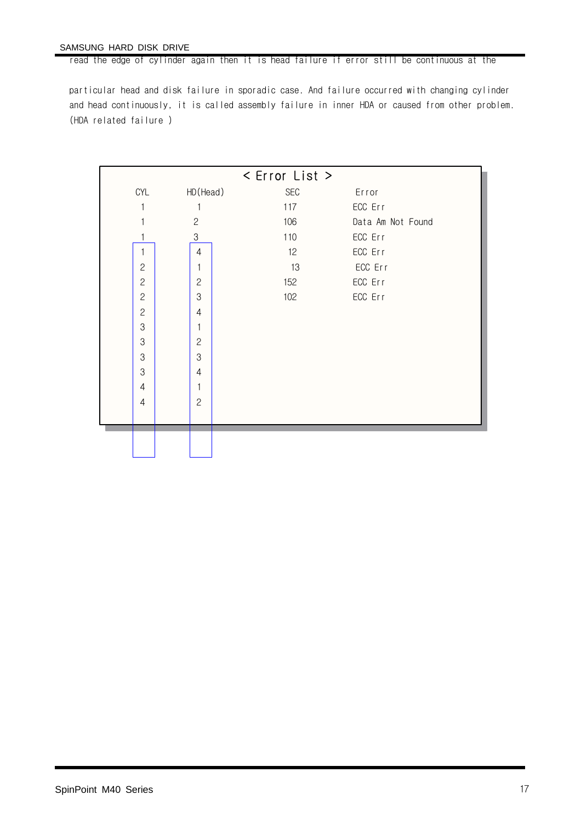#### SAMSUNG HARD DISK DRIVE

read the edge of cylinder again then it is head failure if error still be continuous at the

particular head and disk failure in sporadic case. And failure occurred with changing cylinder and head continuously, it is called assembly failure in inner HDA or caused from other problem. (HDA related failure )

|                |                | < Error List > |                   |
|----------------|----------------|----------------|-------------------|
| CYL            | HD (Head)      | $\sf{SEC}$     | Error             |
|                |                | 117            | ECC Err           |
|                | $\mathbf{2}$   | 106            | Data Am Not Found |
|                | $\,3$          | 110            | ECC Err           |
| 1              | $\overline{4}$ | 12             | ECC Err           |
| $\mathbf{2}$   | 1              | 13             | ECC Err           |
| $\overline{c}$ | $\overline{c}$ | 152            | ECC Err           |
| $\overline{c}$ | 3              | 102            | ECC Err           |
| $\mathbf{2}$   | 4              |                |                   |
| 3              | 1              |                |                   |
| 3              | $\overline{c}$ |                |                   |
| 3              | 3              |                |                   |
| 3              | $\overline{4}$ |                |                   |
| $\overline{4}$ | 1              |                |                   |
| $\overline{4}$ | $\overline{c}$ |                |                   |
|                |                |                |                   |
|                |                |                |                   |
|                |                |                |                   |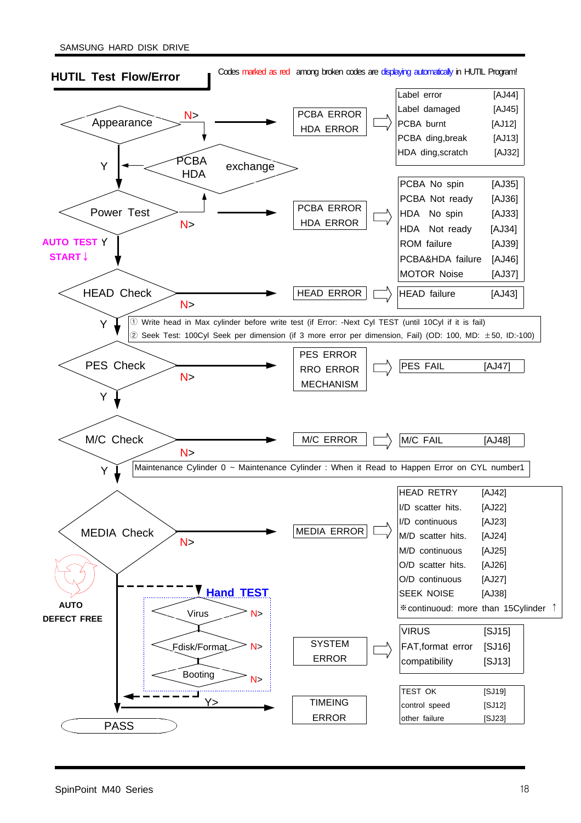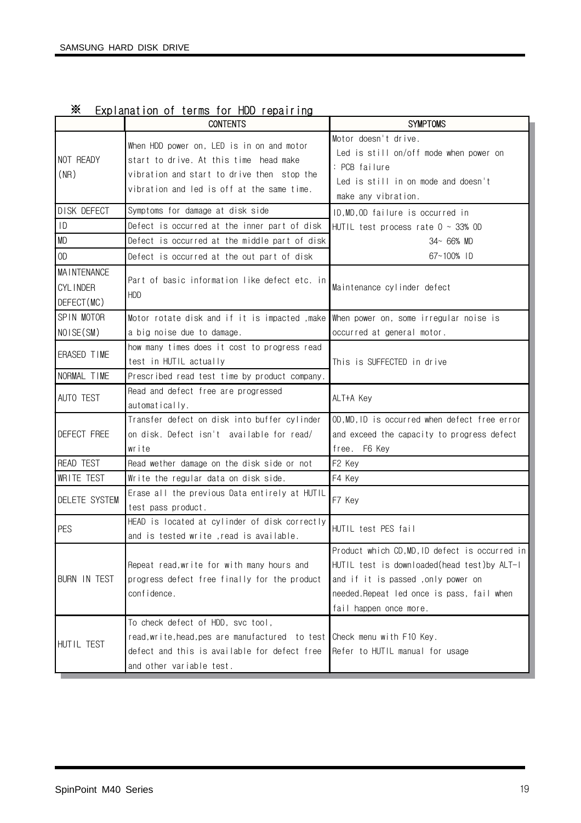|                                                      | <b>CONTENTS</b>                                                                                                                                                                 | <b>SYMPTOMS</b>                                                                                                                                                                                          |
|------------------------------------------------------|---------------------------------------------------------------------------------------------------------------------------------------------------------------------------------|----------------------------------------------------------------------------------------------------------------------------------------------------------------------------------------------------------|
| NOT READY<br>(NR)                                    | When HDD power on, LED is in on and motor<br>start to drive. At this time head make<br>vibration and start to drive then stop the<br>vibration and led is off at the same time. | Motor doesn't drive.<br>Led is still on/off mode when power on<br>: PCB failure<br>Led is still in on mode and doesn't<br>make any vibration.                                                            |
| DISK DEFECT                                          | Symptoms for damage at disk side                                                                                                                                                | ID, MD, OD failure is occurred in                                                                                                                                                                        |
| 10                                                   | Defect is occurred at the inner part of disk                                                                                                                                    | HUTIL test process rate $0 \sim 33\%$ OD                                                                                                                                                                 |
| <b>MD</b>                                            | Defect is occurred at the middle part of disk                                                                                                                                   | $34 - 66%$ MD                                                                                                                                                                                            |
| 0 <sub>0</sub>                                       | Defect is occurred at the out part of disk                                                                                                                                      | 67~100% ID                                                                                                                                                                                               |
| <b>MAINTENANCE</b><br><b>CYLINDER</b><br>DEFECT (MC) | Part of basic information like defect etc. in<br><b>HDD</b>                                                                                                                     | Maintenance cylinder defect                                                                                                                                                                              |
| SPIN MOTOR                                           | Motor rotate disk and if it is impacted , make                                                                                                                                  | When power on, some irregular noise is                                                                                                                                                                   |
| NOISE (SM)                                           | a big noise due to damage.                                                                                                                                                      | occurred at general motor.                                                                                                                                                                               |
| ERASED TIME                                          | how many times does it cost to progress read<br>test in HUTIL actually                                                                                                          | This is SUFFECTED in drive                                                                                                                                                                               |
| NORMAL TIME                                          | Prescribed read test time by product company.                                                                                                                                   |                                                                                                                                                                                                          |
| AUTO TEST                                            | Read and defect free are progressed<br>automatically.                                                                                                                           | ALT+A Key                                                                                                                                                                                                |
| DEFECT FREE                                          | Transfer defect on disk into buffer cylinder<br>on disk. Defect isn't available for read/<br>write                                                                              | 0D, MD, ID is occurred when defect free error<br>and exceed the capacity to progress defect<br>free. F6 Key                                                                                              |
| <b>READ TEST</b>                                     | Read wether damage on the disk side or not                                                                                                                                      | F2 Key                                                                                                                                                                                                   |
| WRITE TEST                                           | Write the regular data on disk side.                                                                                                                                            | F4 Key                                                                                                                                                                                                   |
| DELETE SYSTEM                                        | Erase all the previous Data entirely at HUTIL<br>test pass product.                                                                                                             | F7 Key                                                                                                                                                                                                   |
| PES                                                  | HEAD is located at cylinder of disk correctly<br>and is tested write , read is available.                                                                                       | HUTIL test PES fail                                                                                                                                                                                      |
| <b>BURN IN TEST</b>                                  | Repeat read, write for with many hours and<br>progress defect free finally for the product<br>confidence.                                                                       | Product which CD,MD,ID defect is occurred in<br>HUTIL test is downloaded(head test)by ALT-I<br>and if it is passed, only power on<br>needed.Repeat led once is pass, fail when<br>fail happen once more. |
| HUTIL TEST                                           | To check defect of HDD, svc tool,<br>read, write, head, pes are manufactured to test<br>defect and this is available for defect free<br>and other variable test.                | Check menu with F10 Key.<br>Refer to HUTIL manual for usage                                                                                                                                              |

## ※ Explanation of terms for HDD repairing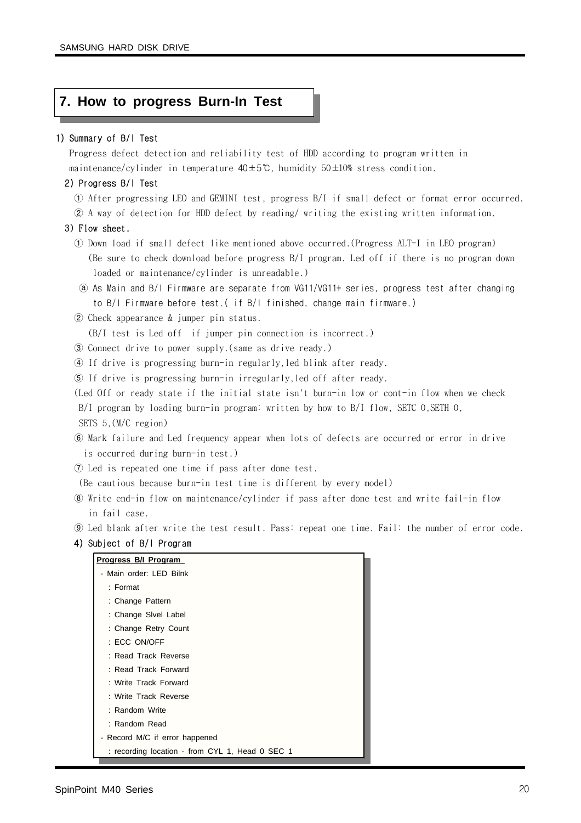#### **7. How to progress Burn-In Test**

#### 1) Summary of B/I Test

Progress defect detection and reliability test of HDD according to program written in maintenance/cylinder in temperature 40±5℃, humidity 50±10% stress condition.

#### 2) Progress B/I Test

- ① After progressing LEO and GEMINI test, progress B/I if small defect or format error occurred.
- ② A way of detection for HDD defect by reading/ writing the existing written information.

#### 3) Flow sheet.

- ① Down load if small defect like mentioned above occurred.(Progress ALT-I in LEO program) (Be sure to check download before progress B/I program. Led off if there is no program down loaded or maintenance/cylinder is unreadable.)
- ⓐ As Main and B/I Firmware are separate from VG11/VG11+ series, progress test after changing to B/I Firmware before test.( if B/I finished, change main firmware.)
- ② Check appearance & jumper pin status.
	- (B/I test is Led off if jumper pin connection is incorrect.)
- ③ Connect drive to power supply.(same as drive ready.)
- ④ If drive is progressing burn-in regularly,led blink after ready.
- ⑤ If drive is progressing burn-in irregularly,led off after ready.
- (Led Off or ready state if the initial state isn't burn-in low or cont-in flow when we check  $B/I$  program by loading burn-in program: written by how to  $B/I$  flow, SETC 0, SETH 0, SETS 5,(M/C region)
- ⑥ Mark failure and Led frequency appear when lots of defects are occurred or error in drive is occurred during burn-in test.)
- ⑦ Led is repeated one time if pass after done test.

(Be cautious because burn-in test time is different by every model)

- ⑧ Write end-in flow on maintenance/cylinder if pass after done test and write fail-in flow in fail case.
- ⑨ Led blank after write the test result. Pass: repeat one time. Fail: the number of error code.

#### 4) Subject of B/I Program

| - Main order: LED Bilnk<br>$:$ Format<br>: Change Pattern<br>: Change Sivel Label<br>: Change Retry Count<br>: ECC ON/OFF<br>: Read Track Reverse<br>: Read Track Forward |
|---------------------------------------------------------------------------------------------------------------------------------------------------------------------------|
|                                                                                                                                                                           |
|                                                                                                                                                                           |
|                                                                                                                                                                           |
|                                                                                                                                                                           |
|                                                                                                                                                                           |
|                                                                                                                                                                           |
|                                                                                                                                                                           |
|                                                                                                                                                                           |
| : Write Track Forward                                                                                                                                                     |
| : Write Track Reverse                                                                                                                                                     |
| : Random Write                                                                                                                                                            |
| : Random Read                                                                                                                                                             |
| - Record M/C if error happened                                                                                                                                            |
| : recording location - from CYL 1, Head 0 SEC 1                                                                                                                           |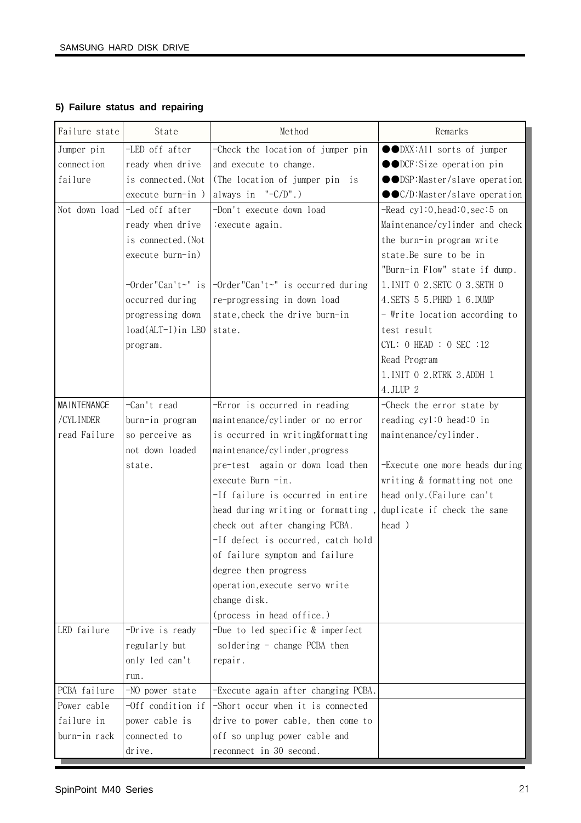#### **5) Failure status and repairing**

| Failure state      | State                | Method                                                 | Remarks                          |
|--------------------|----------------------|--------------------------------------------------------|----------------------------------|
| Jumper pin         | -LED off after       | -Check the location of jumper pin                      | ●●DXX:All sorts of jumper        |
| connection         | ready when drive     | and execute to change.                                 | ●●DCF:Size operation pin         |
| failure            | is connected. (Not   | (The location of jumper pin is                         | ●●DSP:Master/slave operation     |
|                    | execute burn-in)     | always in $"$ - $C/D"$ .)                              | ●●C/D:Master/slave operation     |
| Not down load      | -Led off after       | -Don't execute down load                               | $-$ Read cyl:0, head:0, sec:5 on |
|                    | ready when drive     | : execute again.                                       | Maintenance/cylinder and check   |
|                    | is connected. (Not   |                                                        | the burn-in program write        |
|                    | execute burn-in)     |                                                        | state.Be sure to be in           |
|                    |                      |                                                        | "Burn-in Flow" state if dump.    |
|                    | $-Order''Can't~" is$ | -Order"Can't~" is occurred during                      | 1. INIT 0 2. SETC 0 3. SETH 0    |
|                    | occurred during      | re-progressing in down load                            | 4. SETS 5 5. PHRD 1 6. DUMP      |
|                    | progressing down     | state, check the drive burn-in                         | - Write location according to    |
|                    | load(ALT-I) in LEO   | state.                                                 | test result                      |
|                    | program.             |                                                        | CYL: 0 HEAD : 0 SEC : 12         |
|                    |                      |                                                        | Read Program                     |
|                    |                      |                                                        | 1. INIT 0 2. RTRK 3. ADDH 1      |
|                    |                      |                                                        | $4.$ JLUP $2$                    |
| <b>MAINTENANCE</b> | -Can't read          | -Error is occurred in reading                          | -Check the error state by        |
| /CYLINDER          | burn-in program      | maintenance/cylinder or no error                       | reading cyl:0 head:0 in          |
| read Failure       | so perceive as       | is occurred in writing&formatting                      | maintenance/cylinder.            |
|                    | not down loaded      | maintenance/cylinder, progress                         |                                  |
|                    | state.               | pre-test again or down load then                       | -Execute one more heads during   |
|                    |                      | execute Burn -in.                                      | writing & formatting not one     |
|                    |                      | -If failure is occurred in entire                      | head only. (Failure can't        |
|                    |                      | head during writing or formatting,                     | duplicate if check the same      |
|                    |                      | check out after changing PCBA.                         | head )                           |
|                    |                      | -If defect is occurred, catch hold                     |                                  |
|                    |                      | of failure symptom and failure                         |                                  |
|                    |                      | degree then progress<br>operation, execute servo write |                                  |
|                    |                      | change disk.                                           |                                  |
|                    |                      | (process in head office.)                              |                                  |
| LED failure        | -Drive is ready      | -Due to led specific & imperfect                       |                                  |
|                    | regularly but        | soldering - change PCBA then                           |                                  |
|                    | only led can't       | repair.                                                |                                  |
|                    | run.                 |                                                        |                                  |
| PCBA failure       | -NO power state      | -Execute again after changing PCBA.                    |                                  |
| Power cable        | -Off condition if    | -Short occur when it is connected                      |                                  |
| failure in         | power cable is       | drive to power cable, then come to                     |                                  |
| burn-in rack       | connected to         | off so unplug power cable and                          |                                  |
|                    | drive.               | reconnect in 30 second.                                |                                  |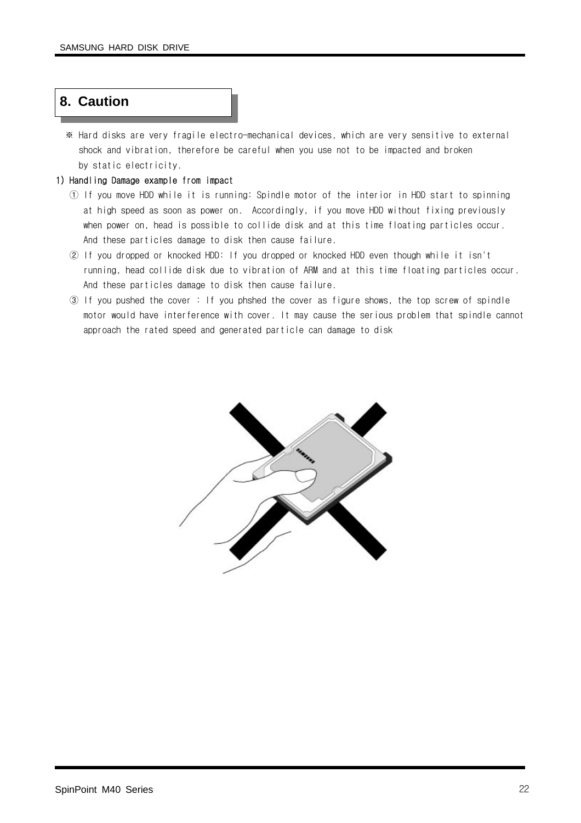### **8. Caution**

※ Hard disks are very fragile electro-mechanical devices, which are very sensitive to external shock and vibration, therefore be careful when you use not to be impacted and broken by static electricity.

#### 1) Handling Damage example from impact

- ① If you move HDD while it is running: Spindle motor of the interior in HDD start to spinning at high speed as soon as power on. Accordingly, if you move HDD without fixing previously when power on, head is possible to collide disk and at this time floating particles occur. And these particles damage to disk then cause failure.
- ② If you dropped or knocked HDD: If you dropped or knocked HDD even though while it isn't running, head collide disk due to vibration of ARM and at this time floating particles occur. And these particles damage to disk then cause failure.
- ③ If you pushed the cover : If you phshed the cover as figure shows, the top screw of spindle motor would have interference with cover. It may cause the serious problem that spindle cannot approach the rated speed and generated particle can damage to disk

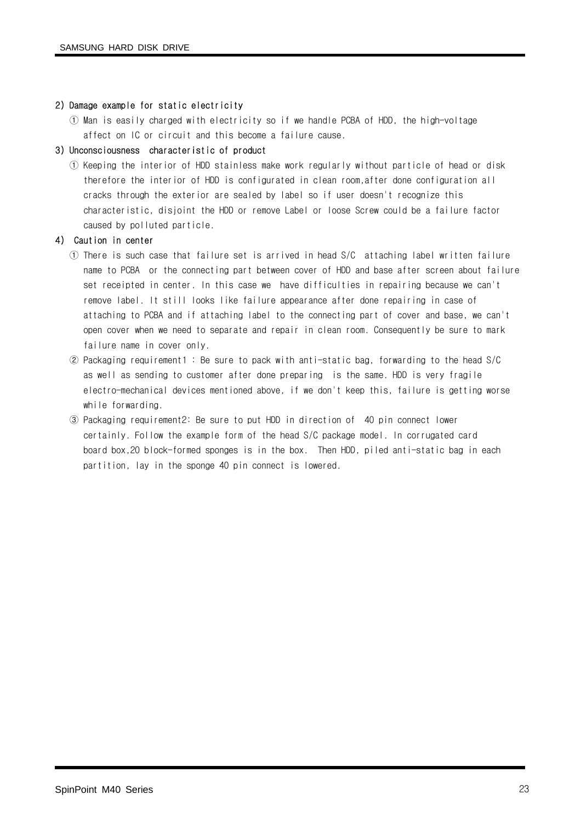#### 2) Damage example for static electricity

① Man is easily charged with electricity so if we handle PCBA of HDD, the high-voltage affect on IC or circuit and this become a failure cause.

#### 3) Unconsciousness characteristic of product

① Keeping the interior of HDD stainless make work regularly without particle of head or disk therefore the interior of HDD is configurated in clean room,after done configuration all cracks through the exterior are sealed by label so if user doesn't recognize this characteristic, disjoint the HDD or remove Label or loose Screw could be a failure factor caused by polluted particle.

#### 4) Caution in center

- ① There is such case that failure set is arrived in head S/C attaching label written failure name to PCBA or the connecting part between cover of HDD and base after screen about failure set receipted in center. In this case we have difficulties in repairing because we can't remove label. It still looks like failure appearance after done repairing in case of attaching to PCBA and if attaching label to the connecting part of cover and base, we can't open cover when we need to separate and repair in clean room. Consequently be sure to mark failure name in cover only.
- ② Packaging requirement1 : Be sure to pack with anti-static bag, forwarding to the head S/C as well as sending to customer after done preparing is the same. HDD is very fragile electro-mechanical devices mentioned above, if we don't keep this, failure is getting worse while forwarding.
- ③ Packaging requirement2: Be sure to put HDD in direction of 40 pin connect lower certainly. Follow the example form of the head S/C package model. In corrugated card board box,20 block-formed sponges is in the box. Then HDD, piled anti-static bag in each partition, lay in the sponge 40 pin connect is lowered.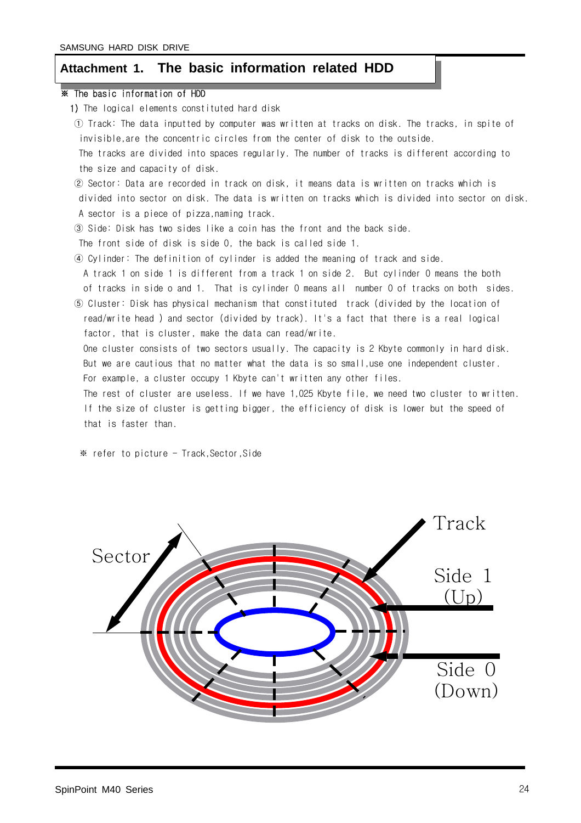#### **Attachment 1. The basic information related HDD**

#### ※ The basic information of HDD

- 1) The logical elements constituted hard disk
- ① Track: The data inputted by computer was written at tracks on disk. The tracks, in spite of invisible,are the concentric circles from the center of disk to the outside. The tracks are divided into spaces regularly. The number of tracks is different according to the size and capacity of disk.
- ② Sector: Data are recorded in track on disk, it means data is written on tracks which is divided into sector on disk. The data is written on tracks which is divided into sector on disk. A sector is a piece of pizza,naming track.
- ③ Side: Disk has two sides like a coin has the front and the back side.
- The front side of disk is side 0, the back is called side 1.
- ④ Cylinder: The definition of cylinder is added the meaning of track and side.
- A track 1 on side 1 is different from a track 1 on side 2. But cylinder 0 means the both of tracks in side o and 1. That is cylinder 0 means all number 0 of tracks on both sides.
- ⑤ Cluster: Disk has physical mechanism that constituted track (divided by the location of read/write head ) and sector (divided by track). It's a fact that there is a real logical factor, that is cluster, make the data can read/write.
	- One cluster consists of two sectors usually. The capacity is 2 Kbyte commonly in hard disk. But we are cautious that no matter what the data is so small,use one independent cluster. For example, a cluster occupy 1 Kbyte can't written any other files.

The rest of cluster are useless. If we have 1,025 Kbyte file, we need two cluster to written. If the size of cluster is getting bigger, the efficiency of disk is lower but the speed of that is faster than.

※ refer to picture - Track,Sector,Side

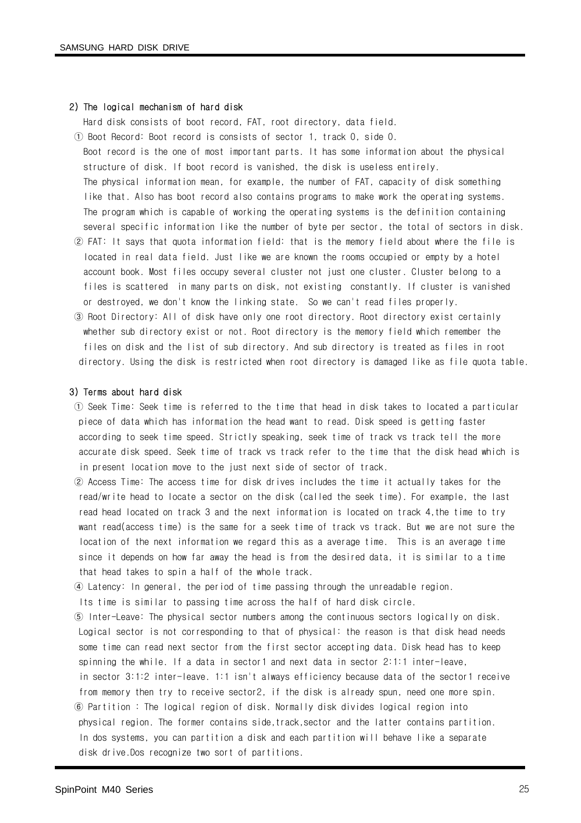#### 2) The logical mechanism of hard disk

Hard disk consists of boot record, FAT, root directory, data field.

- ① Boot Record: Boot record is consists of sector 1, track 0, side 0. Boot record is the one of most important parts. It has some information about the physical structure of disk. If boot record is vanished, the disk is useless entirely. The physical information mean, for example, the number of FAT, capacity of disk something like that. Also has boot record also contains programs to make work the operating systems. The program which is capable of working the operating systems is the definition containing several specific information like the number of byte per sector, the total of sectors in disk.
- ② FAT: It says that quota information field: that is the memory field about where the file is located in real data field. Just like we are known the rooms occupied or empty by a hotel account book. Most files occupy several cluster not just one cluster. Cluster belong to a files is scattered in many parts on disk, not existing constantly. If cluster is vanished or destroyed, we don't know the linking state. So we can't read files properly.
- ③ Root Directory: All of disk have only one root directory. Root directory exist certainly whether sub directory exist or not. Root directory is the memory field which remember the files on disk and the list of sub directory. And sub directory is treated as files in root directory. Using the disk is restricted when root directory is damaged like as file quota table.

#### 3) Terms about hard disk

- ① Seek Time: Seek time is referred to the time that head in disk takes to located a particular piece of data which has information the head want to read. Disk speed is getting faster according to seek time speed. Strictly speaking, seek time of track vs track tell the more accurate disk speed. Seek time of track vs track refer to the time that the disk head which is in present location move to the just next side of sector of track.
- ② Access Time: The access time for disk drives includes the time it actually takes for the read/write head to locate a sector on the disk (called the seek time). For example, the last read head located on track 3 and the next information is located on track 4,the time to try want read(access time) is the same for a seek time of track vs track. But we are not sure the location of the next information we regard this as a average time. This is an average time since it depends on how far away the head is from the desired data, it is similar to a time that head takes to spin a half of the whole track.
- ④ Latency: In general, the period of time passing through the unreadable region.
- Its time is similar to passing time across the half of hard disk circle.
- ⑤ Inter-Leave: The physical sector numbers among the continuous sectors logically on disk. Logical sector is not corresponding to that of physical: the reason is that disk head needs some time can read next sector from the first sector accepting data. Disk head has to keep spinning the while. If a data in sector1 and next data in sector 2:1:1 inter-leave, in sector 3:1:2 inter-leave. 1:1 isn't always efficiency because data of the sector1 receive from memory then try to receive sector2, if the disk is already spun, need one more spin. ⑥ Partition : The logical region of disk. Normally disk divides logical region into
- physical region. The former contains side,track,sector and the latter contains partition. In dos systems, you can partition a disk and each partition will behave like a separate disk drive.Dos recognize two sort of partitions.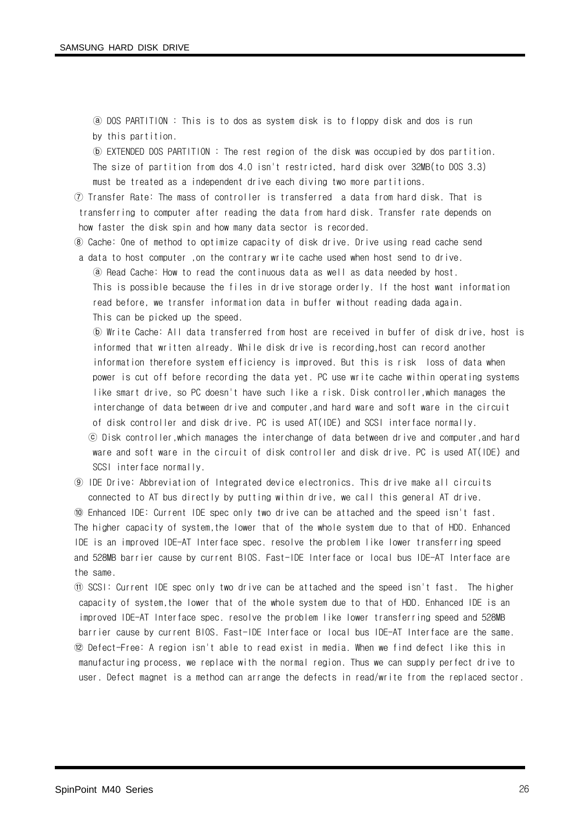ⓐ DOS PARTITION : This is to dos as system disk is to floppy disk and dos is run by this partition.

ⓑ EXTENDED DOS PARTITION : The rest region of the disk was occupied by dos partition. The size of partition from dos 4.0 isn't restricted, hard disk over 32MB(to DOS 3.3) must be treated as a independent drive each diving two more partitions.

⑦ Transfer Rate: The mass of controller is transferred a data from hard disk. That is transferring to computer after reading the data from hard disk. Transfer rate depends on how faster the disk spin and how many data sector is recorded.

⑧ Cache: One of method to optimize capacity of disk drive. Drive using read cache send

a data to host computer ,on the contrary write cache used when host send to drive.

ⓐ Read Cache: How to read the continuous data as well as data needed by host. This is possible because the files in drive storage orderly. If the host want information read before, we transfer information data in buffer without reading dada again. This can be picked up the speed.

ⓑ Write Cache: All data transferred from host are received in buffer of disk drive, host is informed that written already. While disk drive is recording,host can record another information therefore system efficiency is improved. But this is risk loss of data when power is cut off before recording the data yet. PC use write cache within operating systems like smart drive, so PC doesn't have such like a risk. Disk controller,which manages the interchange of data between drive and computer,and hard ware and soft ware in the circuit of disk controller and disk drive. PC is used AT(IDE) and SCSI interface normally. ⓒ Disk controller,which manages the interchange of data between drive and computer,and hard ware and soft ware in the circuit of disk controller and disk drive. PC is used AT(IDE) and SCSI interface normally.

⑨ IDE Drive: Abbreviation of Integrated device electronics. This drive make all circuits connected to AT bus directly by putting within drive, we call this general AT drive.

⑩ Enhanced IDE: Current IDE spec only two drive can be attached and the speed isn't fast. The higher capacity of system,the lower that of the whole system due to that of HDD. Enhanced IDE is an improved IDE-AT Interface spec. resolve the problem like lower transferring speed and 528MB barrier cause by current BIOS. Fast-IDE Interface or local bus IDE-AT Interface are the same.

⑪ SCSI: Current IDE spec only two drive can be attached and the speed isn't fast. The higher capacity of system,the lower that of the whole system due to that of HDD. Enhanced IDE is an improved IDE-AT Interface spec. resolve the problem like lower transferring speed and 528MB barrier cause by current BIOS. Fast-IDE Interface or local bus IDE-AT Interface are the same. ⑫ Defect-Free: A region isn't able to read exist in media. When we find defect like this in manufacturing process, we replace with the normal region. Thus we can supply perfect drive to user. Defect magnet is a method can arrange the defects in read/write from the replaced sector.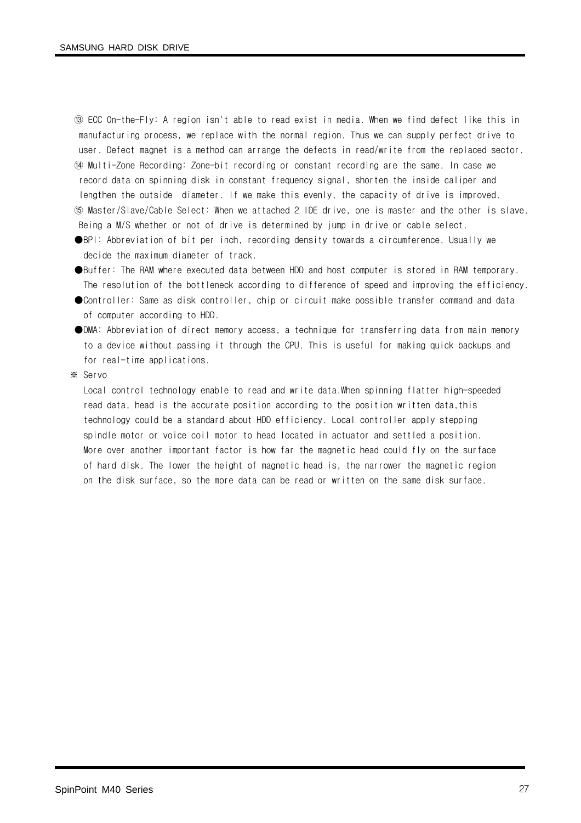⑬ ECC On-the-Fly: A region isn't able to read exist in media. When we find defect like this in manufacturing process, we replace with the normal region. Thus we can supply perfect drive to user. Defect magnet is a method can arrange the defects in read/write from the replaced sector. ⑭ Multi-Zone Recording: Zone-bit recording or constant recording are the same. In case we record data on spinning disk in constant frequency signal, shorten the inside caliper and lengthen the outside diameter. If we make this evenly, the capacity of drive is improved. ⑮ Master/Slave/Cable Select: When we attached 2 IDE drive, one is master and the other is slave. Being a M/S whether or not of drive is determined by jump in drive or cable select.

●BPI: Abbreviation of bit per inch, recording density towards a circumference. Usually we decide the maximum diameter of track.

- ●Buffer: The RAM where executed data between HDD and host computer is stored in RAM temporary. The resolution of the bottleneck according to difference of speed and improving the efficiency.
- ●Controller: Same as disk controller, chip or circuit make possible transfer command and data of computer according to HDD.
- ●DMA: Abbreviation of direct memory access, a technique for transferring data from main memory to a device without passing it through the CPU. This is useful for making quick backups and for real-time applications.

※ Servo

Local control technology enable to read and write data.When spinning flatter high-speeded read data, head is the accurate position according to the position written data, this technology could be a standard about HDD efficiency. Local controller apply stepping spindle motor or voice coil motor to head located in actuator and settled a position. More over another important factor is how far the magnetic head could fly on the surface of hard disk. The lower the height of magnetic head is, the narrower the magnetic region on the disk surface, so the more data can be read or written on the same disk surface.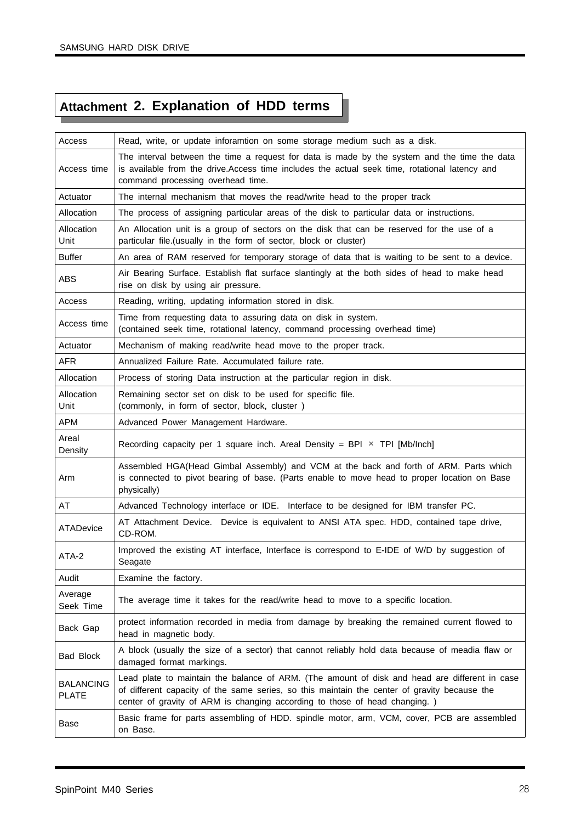## **Attachment 2. Explanation of HDD terms**

| Access                           | Read, write, or update inforamtion on some storage medium such as a disk.                                                                                                                                                                                                   |
|----------------------------------|-----------------------------------------------------------------------------------------------------------------------------------------------------------------------------------------------------------------------------------------------------------------------------|
| Access time                      | The interval between the time a request for data is made by the system and the time the data<br>is available from the drive. Access time includes the actual seek time, rotational latency and<br>command processing overhead time.                                         |
| Actuator                         | The internal mechanism that moves the read/write head to the proper track                                                                                                                                                                                                   |
| Allocation                       | The process of assigning particular areas of the disk to particular data or instructions.                                                                                                                                                                                   |
| Allocation<br>Unit               | An Allocation unit is a group of sectors on the disk that can be reserved for the use of a<br>particular file. (usually in the form of sector, block or cluster)                                                                                                            |
| <b>Buffer</b>                    | An area of RAM reserved for temporary storage of data that is waiting to be sent to a device.                                                                                                                                                                               |
| <b>ABS</b>                       | Air Bearing Surface. Establish flat surface slantingly at the both sides of head to make head<br>rise on disk by using air pressure.                                                                                                                                        |
| Access                           | Reading, writing, updating information stored in disk.                                                                                                                                                                                                                      |
| Access time                      | Time from requesting data to assuring data on disk in system.<br>(contained seek time, rotational latency, command processing overhead time)                                                                                                                                |
| Actuator                         | Mechanism of making read/write head move to the proper track.                                                                                                                                                                                                               |
| <b>AFR</b>                       | Annualized Failure Rate, Accumulated failure rate.                                                                                                                                                                                                                          |
| Allocation                       | Process of storing Data instruction at the particular region in disk.                                                                                                                                                                                                       |
| Allocation<br>Unit               | Remaining sector set on disk to be used for specific file.<br>(commonly, in form of sector, block, cluster)                                                                                                                                                                 |
| <b>APM</b>                       | Advanced Power Management Hardware.                                                                                                                                                                                                                                         |
| Areal<br>Density                 | Recording capacity per 1 square inch. Areal Density = BPI $\times$ TPI [Mb/Inch]                                                                                                                                                                                            |
| Arm                              | Assembled HGA(Head Gimbal Assembly) and VCM at the back and forth of ARM. Parts which<br>is connected to pivot bearing of base. (Parts enable to move head to proper location on Base<br>physically)                                                                        |
| AT                               | Advanced Technology interface or IDE. Interface to be designed for IBM transfer PC.                                                                                                                                                                                         |
| ATADevice                        | AT Attachment Device. Device is equivalent to ANSI ATA spec. HDD, contained tape drive,<br>CD-ROM.                                                                                                                                                                          |
| ATA-2                            | Improved the existing AT interface, Interface is correspond to E-IDE of W/D by suggestion of<br>Seagate                                                                                                                                                                     |
| Audit                            | Examine the factory.                                                                                                                                                                                                                                                        |
| Average<br>Seek Time             | The average time it takes for the read/write head to move to a specific location.                                                                                                                                                                                           |
| Back Gap                         | protect information recorded in media from damage by breaking the remained current flowed to<br>head in magnetic body.                                                                                                                                                      |
| <b>Bad Block</b>                 | A block (usually the size of a sector) that cannot reliably hold data because of meadia flaw or<br>damaged format markings.                                                                                                                                                 |
| <b>BALANCING</b><br><b>PLATE</b> | Lead plate to maintain the balance of ARM. (The amount of disk and head are different in case<br>of different capacity of the same series, so this maintain the center of gravity because the<br>center of gravity of ARM is changing according to those of head changing.) |
| Base                             | Basic frame for parts assembling of HDD. spindle motor, arm, VCM, cover, PCB are assembled<br>on Base.                                                                                                                                                                      |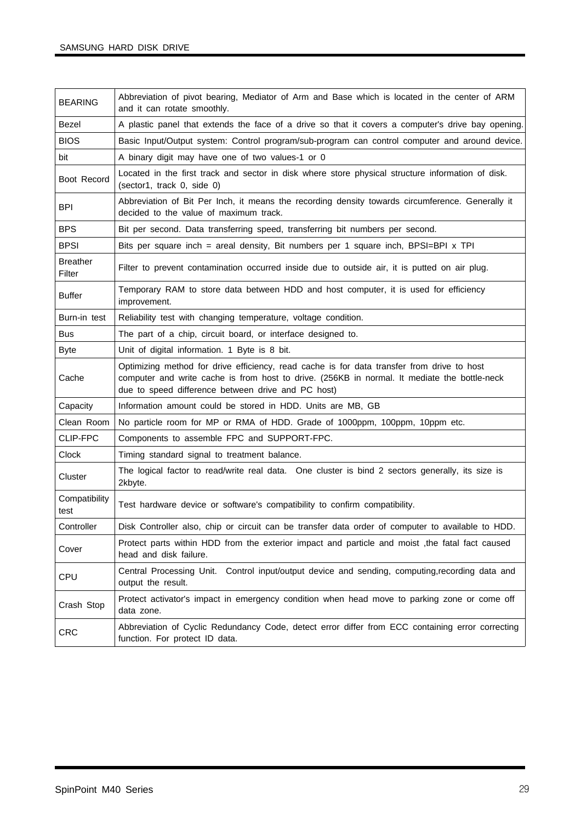| <b>BEARING</b>            | Abbreviation of pivot bearing, Mediator of Arm and Base which is located in the center of ARM<br>and it can rotate smoothly.                                                                                                                     |
|---------------------------|--------------------------------------------------------------------------------------------------------------------------------------------------------------------------------------------------------------------------------------------------|
| Bezel                     | A plastic panel that extends the face of a drive so that it covers a computer's drive bay opening.                                                                                                                                               |
| <b>BIOS</b>               | Basic Input/Output system: Control program/sub-program can control computer and around device.                                                                                                                                                   |
| bit                       | A binary digit may have one of two values-1 or 0                                                                                                                                                                                                 |
| Boot Record               | Located in the first track and sector in disk where store physical structure information of disk.<br>(sector1, track 0, side 0)                                                                                                                  |
| <b>BPI</b>                | Abbreviation of Bit Per Inch, it means the recording density towards circumference. Generally it<br>decided to the value of maximum track.                                                                                                       |
| <b>BPS</b>                | Bit per second. Data transferring speed, transferring bit numbers per second.                                                                                                                                                                    |
| <b>BPSI</b>               | Bits per square inch = areal density, Bit numbers per 1 square inch, BPSI=BPI x TPI                                                                                                                                                              |
| <b>Breather</b><br>Filter | Filter to prevent contamination occurred inside due to outside air, it is putted on air plug.                                                                                                                                                    |
| <b>Buffer</b>             | Temporary RAM to store data between HDD and host computer, it is used for efficiency<br>improvement.                                                                                                                                             |
| Burn-in test              | Reliability test with changing temperature, voltage condition.                                                                                                                                                                                   |
| <b>Bus</b>                | The part of a chip, circuit board, or interface designed to.                                                                                                                                                                                     |
| <b>Byte</b>               | Unit of digital information. 1 Byte is 8 bit.                                                                                                                                                                                                    |
| Cache                     | Optimizing method for drive efficiency, read cache is for data transfer from drive to host<br>computer and write cache is from host to drive. (256KB in normal. It mediate the bottle-neck<br>due to speed difference between drive and PC host) |
| Capacity                  | Information amount could be stored in HDD. Units are MB, GB                                                                                                                                                                                      |
| Clean Room                | No particle room for MP or RMA of HDD. Grade of 1000ppm, 100ppm, 10ppm etc.                                                                                                                                                                      |
| CLIP-FPC                  | Components to assemble FPC and SUPPORT-FPC.                                                                                                                                                                                                      |
| Clock                     | Timing standard signal to treatment balance.                                                                                                                                                                                                     |
| Cluster                   | The logical factor to read/write real data. One cluster is bind 2 sectors generally, its size is<br>2kbyte.                                                                                                                                      |
| Compatibility<br>test     | Test hardware device or software's compatibility to confirm compatibility.                                                                                                                                                                       |
| Controller                | Disk Controller also, chip or circuit can be transfer data order of computer to available to HDD.                                                                                                                                                |
| Cover                     | Protect parts within HDD from the exterior impact and particle and moist, the fatal fact caused<br>head and disk failure.                                                                                                                        |
| CPU                       | Central Processing Unit. Control input/output device and sending, computing, recording data and<br>output the result.                                                                                                                            |
| Crash Stop                | Protect activator's impact in emergency condition when head move to parking zone or come off<br>data zone.                                                                                                                                       |
| <b>CRC</b>                | Abbreviation of Cyclic Redundancy Code, detect error differ from ECC containing error correcting<br>function. For protect ID data.                                                                                                               |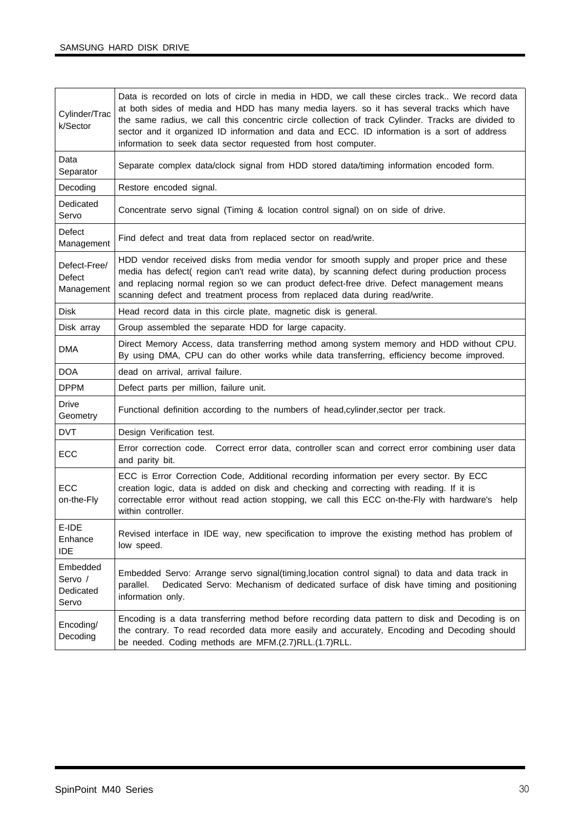| Cylinder/Trac<br>k/Sector                 | Data is recorded on lots of circle in media in HDD, we call these circles track We record data<br>at both sides of media and HDD has many media layers. so it has several tracks which have<br>the same radius, we call this concentric circle collection of track Cylinder. Tracks are divided to<br>sector and it organized ID information and data and ECC. ID information is a sort of address<br>information to seek data sector requested from host computer. |
|-------------------------------------------|---------------------------------------------------------------------------------------------------------------------------------------------------------------------------------------------------------------------------------------------------------------------------------------------------------------------------------------------------------------------------------------------------------------------------------------------------------------------|
| Data<br>Separator                         | Separate complex data/clock signal from HDD stored data/timing information encoded form.                                                                                                                                                                                                                                                                                                                                                                            |
| Decoding                                  | Restore encoded signal.                                                                                                                                                                                                                                                                                                                                                                                                                                             |
| Dedicated<br>Servo                        | Concentrate servo signal (Timing & location control signal) on on side of drive.                                                                                                                                                                                                                                                                                                                                                                                    |
| Defect<br>Management                      | Find defect and treat data from replaced sector on read/write.                                                                                                                                                                                                                                                                                                                                                                                                      |
| Defect-Free/<br>Defect<br>Management      | HDD vendor received disks from media vendor for smooth supply and proper price and these<br>media has defect( region can't read write data), by scanning defect during production process<br>and replacing normal region so we can product defect-free drive. Defect management means<br>scanning defect and treatment process from replaced data during read/write.                                                                                                |
| <b>Disk</b>                               | Head record data in this circle plate, magnetic disk is general.                                                                                                                                                                                                                                                                                                                                                                                                    |
| Disk array                                | Group assembled the separate HDD for large capacity.                                                                                                                                                                                                                                                                                                                                                                                                                |
| DMA                                       | Direct Memory Access, data transferring method among system memory and HDD without CPU.<br>By using DMA, CPU can do other works while data transferring, efficiency become improved.                                                                                                                                                                                                                                                                                |
| <b>DOA</b>                                | dead on arrival, arrival failure.                                                                                                                                                                                                                                                                                                                                                                                                                                   |
| <b>DPPM</b>                               | Defect parts per million, failure unit.                                                                                                                                                                                                                                                                                                                                                                                                                             |
| <b>Drive</b><br>Geometry                  | Functional definition according to the numbers of head, cylinder, sector per track.                                                                                                                                                                                                                                                                                                                                                                                 |
| <b>DVT</b>                                | Design Verification test.                                                                                                                                                                                                                                                                                                                                                                                                                                           |
| ECC                                       | Error correction code. Correct error data, controller scan and correct error combining user data<br>and parity bit.                                                                                                                                                                                                                                                                                                                                                 |
| ECC<br>on-the-Fly                         | ECC is Error Correction Code, Additional recording information per every sector. By ECC<br>creation logic, data is added on disk and checking and correcting with reading. If it is<br>correctable error without read action stopping, we call this ECC on-the-Fly with hardware's<br>help<br>within controller.                                                                                                                                                    |
| E-IDE<br>Enhance<br><b>IDE</b>            | Revised interface in IDE way, new specification to improve the existing method has problem of<br>low speed.                                                                                                                                                                                                                                                                                                                                                         |
| Embedded<br>Servo /<br>Dedicated<br>Servo | Embedded Servo: Arrange servo signal(timing, location control signal) to data and data track in<br>Dedicated Servo: Mechanism of dedicated surface of disk have timing and positioning<br>parallel.<br>information only.                                                                                                                                                                                                                                            |
| Encoding/<br>Decoding                     | Encoding is a data transferring method before recording data pattern to disk and Decoding is on<br>the contrary. To read recorded data more easily and accurately, Encoding and Decoding should<br>be needed. Coding methods are MFM.(2.7)RLL.(1.7)RLL.                                                                                                                                                                                                             |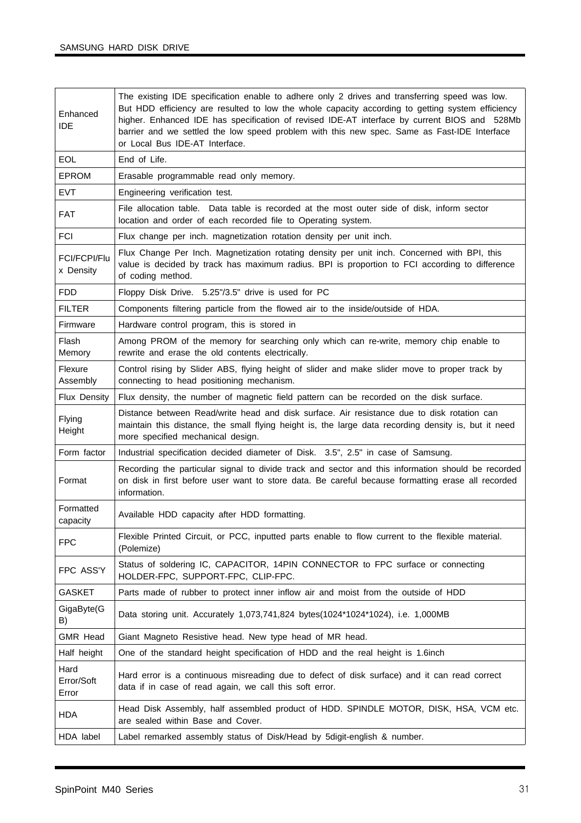| Enhanced<br><b>IDE</b>           | The existing IDE specification enable to adhere only 2 drives and transferring speed was low.<br>But HDD efficiency are resulted to low the whole capacity according to getting system efficiency<br>higher. Enhanced IDE has specification of revised IDE-AT interface by current BIOS and 528Mb<br>barrier and we settled the low speed problem with this new spec. Same as Fast-IDE Interface<br>or Local Bus IDE-AT Interface. |
|----------------------------------|------------------------------------------------------------------------------------------------------------------------------------------------------------------------------------------------------------------------------------------------------------------------------------------------------------------------------------------------------------------------------------------------------------------------------------|
| EOL                              | End of Life.                                                                                                                                                                                                                                                                                                                                                                                                                       |
| <b>EPROM</b>                     | Erasable programmable read only memory.                                                                                                                                                                                                                                                                                                                                                                                            |
| <b>EVT</b>                       | Engineering verification test.                                                                                                                                                                                                                                                                                                                                                                                                     |
| <b>FAT</b>                       | File allocation table. Data table is recorded at the most outer side of disk, inform sector<br>location and order of each recorded file to Operating system.                                                                                                                                                                                                                                                                       |
| <b>FCI</b>                       | Flux change per inch. magnetization rotation density per unit inch.                                                                                                                                                                                                                                                                                                                                                                |
| <b>FCI/FCPI/Flu</b><br>x Density | Flux Change Per Inch. Magnetization rotating density per unit inch. Concerned with BPI, this<br>value is decided by track has maximum radius. BPI is proportion to FCI according to difference<br>of coding method.                                                                                                                                                                                                                |
| <b>FDD</b>                       | Floppy Disk Drive. 5.25"/3.5" drive is used for PC                                                                                                                                                                                                                                                                                                                                                                                 |
| <b>FILTER</b>                    | Components filtering particle from the flowed air to the inside/outside of HDA.                                                                                                                                                                                                                                                                                                                                                    |
| Firmware                         | Hardware control program, this is stored in                                                                                                                                                                                                                                                                                                                                                                                        |
| Flash<br>Memory                  | Among PROM of the memory for searching only which can re-write, memory chip enable to<br>rewrite and erase the old contents electrically.                                                                                                                                                                                                                                                                                          |
| Flexure<br>Assembly              | Control rising by Slider ABS, flying height of slider and make slider move to proper track by<br>connecting to head positioning mechanism.                                                                                                                                                                                                                                                                                         |
| Flux Density                     | Flux density, the number of magnetic field pattern can be recorded on the disk surface.                                                                                                                                                                                                                                                                                                                                            |
| Flying<br>Height                 | Distance between Read/write head and disk surface. Air resistance due to disk rotation can<br>maintain this distance, the small flying height is, the large data recording density is, but it need<br>more specified mechanical design.                                                                                                                                                                                            |
| Form factor                      | Industrial specification decided diameter of Disk. 3.5", 2.5" in case of Samsung.                                                                                                                                                                                                                                                                                                                                                  |
| Format                           | Recording the particular signal to divide track and sector and this information should be recorded<br>on disk in first before user want to store data. Be careful because formatting erase all recorded<br>information.                                                                                                                                                                                                            |
| Formatted<br>capacity            | Available HDD capacity after HDD formatting.                                                                                                                                                                                                                                                                                                                                                                                       |
| <b>FPC</b>                       | Flexible Printed Circuit, or PCC, inputted parts enable to flow current to the flexible material.<br>(Polemize)                                                                                                                                                                                                                                                                                                                    |
| FPC ASS'Y                        | Status of soldering IC, CAPACITOR, 14PIN CONNECTOR to FPC surface or connecting<br>HOLDER-FPC, SUPPORT-FPC, CLIP-FPC.                                                                                                                                                                                                                                                                                                              |
| <b>GASKET</b>                    | Parts made of rubber to protect inner inflow air and moist from the outside of HDD                                                                                                                                                                                                                                                                                                                                                 |
| GigaByte(G<br>B)                 | Data storing unit. Accurately 1,073,741,824 bytes(1024*1024*1024), i.e. 1,000MB                                                                                                                                                                                                                                                                                                                                                    |
| <b>GMR Head</b>                  | Giant Magneto Resistive head. New type head of MR head.                                                                                                                                                                                                                                                                                                                                                                            |
| Half height                      | One of the standard height specification of HDD and the real height is 1.6 inch                                                                                                                                                                                                                                                                                                                                                    |
| Hard<br>Error/Soft<br>Error      | Hard error is a continuous misreading due to defect of disk surface) and it can read correct<br>data if in case of read again, we call this soft error.                                                                                                                                                                                                                                                                            |
| HDA                              | Head Disk Assembly, half assembled product of HDD. SPINDLE MOTOR, DISK, HSA, VCM etc.<br>are sealed within Base and Cover.                                                                                                                                                                                                                                                                                                         |
| HDA label                        | Label remarked assembly status of Disk/Head by 5digit-english & number.                                                                                                                                                                                                                                                                                                                                                            |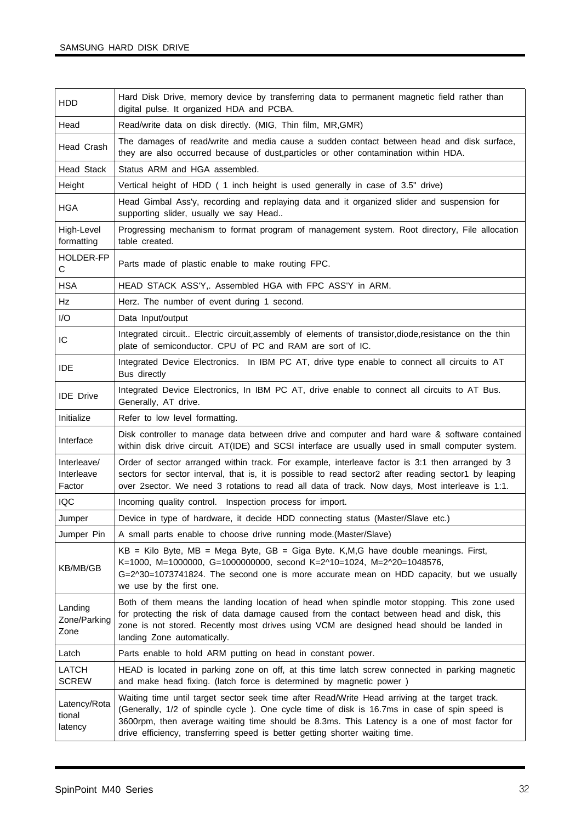| <b>HDD</b>                          | Hard Disk Drive, memory device by transferring data to permanent magnetic field rather than<br>digital pulse. It organized HDA and PCBA.                                                                                                                                                                                                                                       |
|-------------------------------------|--------------------------------------------------------------------------------------------------------------------------------------------------------------------------------------------------------------------------------------------------------------------------------------------------------------------------------------------------------------------------------|
| Head                                | Read/write data on disk directly. (MIG, Thin film, MR, GMR)                                                                                                                                                                                                                                                                                                                    |
| Head Crash                          | The damages of read/write and media cause a sudden contact between head and disk surface,<br>they are also occurred because of dust, particles or other contamination within HDA.                                                                                                                                                                                              |
| <b>Head Stack</b>                   | Status ARM and HGA assembled.                                                                                                                                                                                                                                                                                                                                                  |
| Height                              | Vertical height of HDD (1 inch height is used generally in case of 3.5" drive)                                                                                                                                                                                                                                                                                                 |
| <b>HGA</b>                          | Head Gimbal Ass'y, recording and replaying data and it organized slider and suspension for<br>supporting slider, usually we say Head                                                                                                                                                                                                                                           |
| High-Level<br>formatting            | Progressing mechanism to format program of management system. Root directory, File allocation<br>table created.                                                                                                                                                                                                                                                                |
| <b>HOLDER-FP</b><br>C               | Parts made of plastic enable to make routing FPC.                                                                                                                                                                                                                                                                                                                              |
| <b>HSA</b>                          | HEAD STACK ASS'Y,. Assembled HGA with FPC ASS'Y in ARM.                                                                                                                                                                                                                                                                                                                        |
| Hz                                  | Herz. The number of event during 1 second.                                                                                                                                                                                                                                                                                                                                     |
| I/O                                 | Data Input/output                                                                                                                                                                                                                                                                                                                                                              |
| IC                                  | Integrated circuit Electric circuit, assembly of elements of transistor, diode, resistance on the thin<br>plate of semiconductor. CPU of PC and RAM are sort of IC.                                                                                                                                                                                                            |
| <b>IDE</b>                          | Integrated Device Electronics. In IBM PC AT, drive type enable to connect all circuits to AT<br>Bus directly                                                                                                                                                                                                                                                                   |
| <b>IDE</b> Drive                    | Integrated Device Electronics, In IBM PC AT, drive enable to connect all circuits to AT Bus.<br>Generally, AT drive.                                                                                                                                                                                                                                                           |
| Initialize                          | Refer to low level formatting.                                                                                                                                                                                                                                                                                                                                                 |
| Interface                           | Disk controller to manage data between drive and computer and hard ware & software contained<br>within disk drive circuit. AT(IDE) and SCSI interface are usually used in small computer system.                                                                                                                                                                               |
| Interleave/<br>Interleave<br>Factor | Order of sector arranged within track. For example, interleave factor is 3:1 then arranged by 3<br>sectors for sector interval, that is, it is possible to read sector2 after reading sector1 by leaping<br>over 2sector. We need 3 rotations to read all data of track. Now days, Most interleave is 1:1.                                                                     |
| <b>IQC</b>                          | Incoming quality control. Inspection process for import.                                                                                                                                                                                                                                                                                                                       |
| Jumper                              | Device in type of hardware, it decide HDD connecting status (Master/Slave etc.)                                                                                                                                                                                                                                                                                                |
| Jumper Pin                          | A small parts enable to choose drive running mode.(Master/Slave)                                                                                                                                                                                                                                                                                                               |
| KB/MB/GB                            | $KB$ = Kilo Byte, MB = Mega Byte, GB = Giga Byte. K, M, G have double meanings. First,<br>K=1000, M=1000000, G=1000000000, second K=2^10=1024, M=2^20=1048576,<br>G=2^30=1073741824. The second one is more accurate mean on HDD capacity, but we usually<br>we use by the first one.                                                                                          |
| Landing<br>Zone/Parking<br>Zone     | Both of them means the landing location of head when spindle motor stopping. This zone used<br>for protecting the risk of data damage caused from the contact between head and disk, this<br>zone is not stored. Recently most drives using VCM are designed head should be landed in<br>landing Zone automatically.                                                           |
| Latch                               | Parts enable to hold ARM putting on head in constant power.                                                                                                                                                                                                                                                                                                                    |
| LATCH<br><b>SCREW</b>               | HEAD is located in parking zone on off, at this time latch screw connected in parking magnetic<br>and make head fixing. (latch force is determined by magnetic power)                                                                                                                                                                                                          |
| Latency/Rota<br>tional<br>latency   | Waiting time until target sector seek time after Read/Write Head arriving at the target track.<br>(Generally, 1/2 of spindle cycle). One cycle time of disk is 16.7ms in case of spin speed is<br>3600rpm, then average waiting time should be 8.3ms. This Latency is a one of most factor for<br>drive efficiency, transferring speed is better getting shorter waiting time. |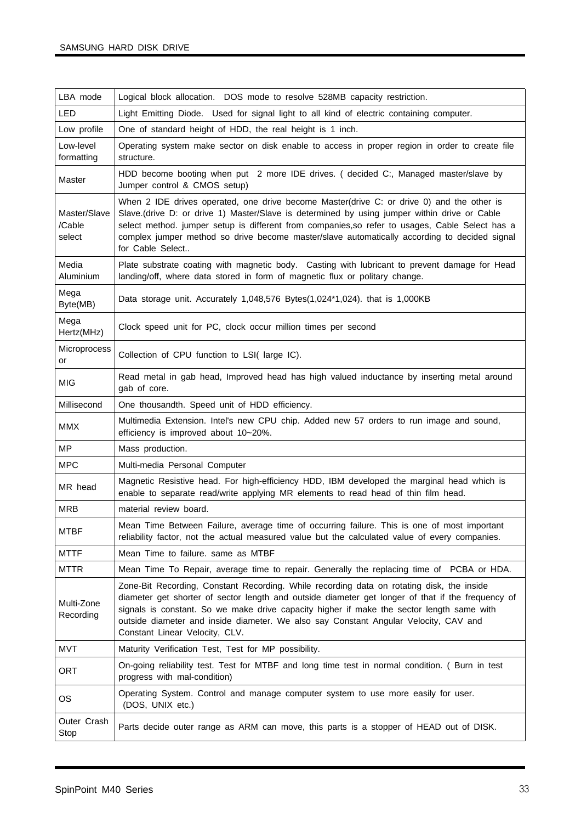| LBA mode                         | Logical block allocation. DOS mode to resolve 528MB capacity restriction.                                                                                                                                                                                                                                                                                                                                             |
|----------------------------------|-----------------------------------------------------------------------------------------------------------------------------------------------------------------------------------------------------------------------------------------------------------------------------------------------------------------------------------------------------------------------------------------------------------------------|
| <b>LED</b>                       | Light Emitting Diode. Used for signal light to all kind of electric containing computer.                                                                                                                                                                                                                                                                                                                              |
| Low profile                      | One of standard height of HDD, the real height is 1 inch.                                                                                                                                                                                                                                                                                                                                                             |
| Low-level<br>formatting          | Operating system make sector on disk enable to access in proper region in order to create file<br>structure.                                                                                                                                                                                                                                                                                                          |
| Master                           | HDD become booting when put 2 more IDE drives. (decided C:, Managed master/slave by<br>Jumper control & CMOS setup)                                                                                                                                                                                                                                                                                                   |
| Master/Slave<br>/Cable<br>select | When 2 IDE drives operated, one drive become Master(drive C: or drive 0) and the other is<br>Slave.(drive D: or drive 1) Master/Slave is determined by using jumper within drive or Cable<br>select method. jumper setup is different from companies, so refer to usages, Cable Select has a<br>complex jumper method so drive become master/slave automatically according to decided signal<br>for Cable Select      |
| Media<br>Aluminium               | Plate substrate coating with magnetic body. Casting with lubricant to prevent damage for Head<br>landing/off, where data stored in form of magnetic flux or politary change.                                                                                                                                                                                                                                          |
| Mega<br>Byte(MB)                 | Data storage unit. Accurately 1,048,576 Bytes(1,024*1,024). that is 1,000KB                                                                                                                                                                                                                                                                                                                                           |
| Mega<br>Hertz(MHz)               | Clock speed unit for PC, clock occur million times per second                                                                                                                                                                                                                                                                                                                                                         |
| Microprocess<br>or               | Collection of CPU function to LSI(large IC).                                                                                                                                                                                                                                                                                                                                                                          |
| <b>MIG</b>                       | Read metal in gab head, Improved head has high valued inductance by inserting metal around<br>gab of core.                                                                                                                                                                                                                                                                                                            |
| Millisecond                      | One thousandth. Speed unit of HDD efficiency.                                                                                                                                                                                                                                                                                                                                                                         |
|                                  |                                                                                                                                                                                                                                                                                                                                                                                                                       |
| <b>MMX</b>                       | Multimedia Extension. Intel's new CPU chip. Added new 57 orders to run image and sound,<br>efficiency is improved about 10~20%.                                                                                                                                                                                                                                                                                       |
| <b>MP</b>                        | Mass production.                                                                                                                                                                                                                                                                                                                                                                                                      |
| <b>MPC</b>                       | Multi-media Personal Computer                                                                                                                                                                                                                                                                                                                                                                                         |
| MR head                          | Magnetic Resistive head. For high-efficiency HDD, IBM developed the marginal head which is<br>enable to separate read/write applying MR elements to read head of thin film head.                                                                                                                                                                                                                                      |
| <b>MRB</b>                       | material review board.                                                                                                                                                                                                                                                                                                                                                                                                |
| <b>MTBF</b>                      | Mean Time Between Failure, average time of occurring failure. This is one of most important<br>reliability factor, not the actual measured value but the calculated value of every companies.                                                                                                                                                                                                                         |
| <b>MTTF</b>                      | Mean Time to failure. same as MTBF                                                                                                                                                                                                                                                                                                                                                                                    |
| <b>MTTR</b>                      | Mean Time To Repair, average time to repair. Generally the replacing time of PCBA or HDA.                                                                                                                                                                                                                                                                                                                             |
| Multi-Zone<br>Recording          | Zone-Bit Recording, Constant Recording. While recording data on rotating disk, the inside<br>diameter get shorter of sector length and outside diameter get longer of that if the frequency of<br>signals is constant. So we make drive capacity higher if make the sector length same with<br>outside diameter and inside diameter. We also say Constant Angular Velocity, CAV and<br>Constant Linear Velocity, CLV. |
| <b>MVT</b>                       | Maturity Verification Test, Test for MP possibility.                                                                                                                                                                                                                                                                                                                                                                  |
| <b>ORT</b>                       | On-going reliability test. Test for MTBF and long time test in normal condition. ( Burn in test<br>progress with mal-condition)                                                                                                                                                                                                                                                                                       |
| <b>OS</b>                        | Operating System. Control and manage computer system to use more easily for user.<br>(DOS, UNIX etc.)                                                                                                                                                                                                                                                                                                                 |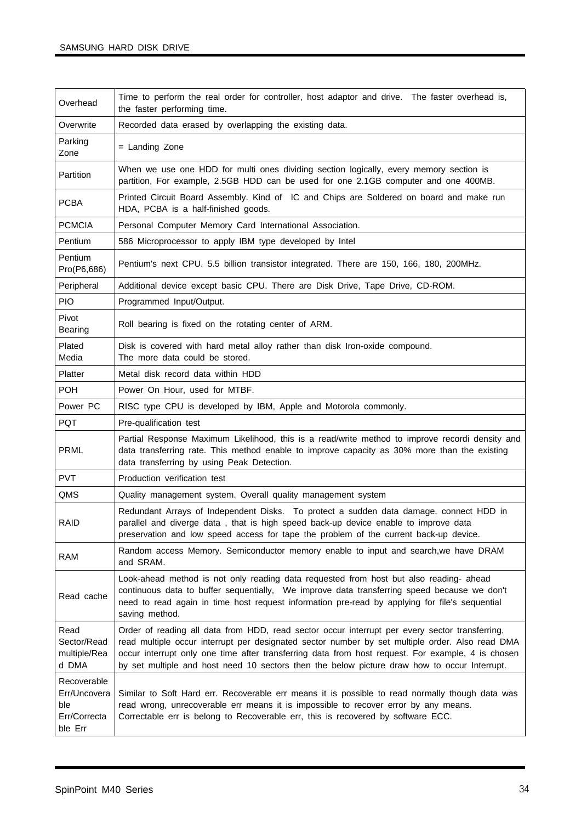| Overhead                                                      | Time to perform the real order for controller, host adaptor and drive. The faster overhead is,<br>the faster performing time.                                                                                                                                                                                                                                                                          |
|---------------------------------------------------------------|--------------------------------------------------------------------------------------------------------------------------------------------------------------------------------------------------------------------------------------------------------------------------------------------------------------------------------------------------------------------------------------------------------|
| Overwrite                                                     | Recorded data erased by overlapping the existing data.                                                                                                                                                                                                                                                                                                                                                 |
| Parking<br>Zone                                               | = Landing Zone                                                                                                                                                                                                                                                                                                                                                                                         |
| Partition                                                     | When we use one HDD for multi ones dividing section logically, every memory section is<br>partition, For example, 2.5GB HDD can be used for one 2.1GB computer and one 400MB.                                                                                                                                                                                                                          |
| <b>PCBA</b>                                                   | Printed Circuit Board Assembly. Kind of IC and Chips are Soldered on board and make run<br>HDA, PCBA is a half-finished goods.                                                                                                                                                                                                                                                                         |
| <b>PCMCIA</b>                                                 | Personal Computer Memory Card International Association.                                                                                                                                                                                                                                                                                                                                               |
| Pentium                                                       | 586 Microprocessor to apply IBM type developed by Intel                                                                                                                                                                                                                                                                                                                                                |
| Pentium<br>Pro(P6,686)                                        | Pentium's next CPU. 5.5 billion transistor integrated. There are 150, 166, 180, 200MHz.                                                                                                                                                                                                                                                                                                                |
| Peripheral                                                    | Additional device except basic CPU. There are Disk Drive, Tape Drive, CD-ROM.                                                                                                                                                                                                                                                                                                                          |
| <b>PIO</b>                                                    | Programmed Input/Output.                                                                                                                                                                                                                                                                                                                                                                               |
| Pivot<br>Bearing                                              | Roll bearing is fixed on the rotating center of ARM.                                                                                                                                                                                                                                                                                                                                                   |
| Plated<br>Media                                               | Disk is covered with hard metal alloy rather than disk Iron-oxide compound.<br>The more data could be stored.                                                                                                                                                                                                                                                                                          |
| Platter                                                       | Metal disk record data within HDD                                                                                                                                                                                                                                                                                                                                                                      |
| <b>POH</b>                                                    | Power On Hour, used for MTBF.                                                                                                                                                                                                                                                                                                                                                                          |
| Power PC                                                      | RISC type CPU is developed by IBM, Apple and Motorola commonly.                                                                                                                                                                                                                                                                                                                                        |
| <b>PQT</b>                                                    | Pre-qualification test                                                                                                                                                                                                                                                                                                                                                                                 |
| <b>PRML</b>                                                   | Partial Response Maximum Likelihood, this is a read/write method to improve recordi density and<br>data transferring rate. This method enable to improve capacity as 30% more than the existing<br>data transferring by using Peak Detection.                                                                                                                                                          |
| <b>PVT</b>                                                    | Production verification test                                                                                                                                                                                                                                                                                                                                                                           |
| QMS                                                           | Quality management system. Overall quality management system                                                                                                                                                                                                                                                                                                                                           |
| <b>RAID</b>                                                   | Redundant Arrays of Independent Disks. To protect a sudden data damage, connect HDD in<br>parallel and diverge data, that is high speed back-up device enable to improve data<br>preservation and low speed access for tape the problem of the current back-up device.                                                                                                                                 |
| <b>RAM</b>                                                    | Random access Memory. Semiconductor memory enable to input and search, we have DRAM<br>and SRAM.                                                                                                                                                                                                                                                                                                       |
| Read cache                                                    | Look-ahead method is not only reading data requested from host but also reading- ahead<br>continuous data to buffer sequentially, We improve data transferring speed because we don't<br>need to read again in time host request information pre-read by applying for file's sequential<br>saving method.                                                                                              |
| Read<br>Sector/Read<br>multiple/Rea<br>d DMA                  | Order of reading all data from HDD, read sector occur interrupt per every sector transferring,<br>read multiple occur interrupt per designated sector number by set multiple order. Also read DMA<br>occur interrupt only one time after transferring data from host request. For example, 4 is chosen<br>by set multiple and host need 10 sectors then the below picture draw how to occur Interrupt. |
| Recoverable<br>Err/Uncovera<br>ble<br>Err/Correcta<br>ble Err | Similar to Soft Hard err. Recoverable err means it is possible to read normally though data was<br>read wrong, unrecoverable err means it is impossible to recover error by any means.<br>Correctable err is belong to Recoverable err, this is recovered by software ECC.                                                                                                                             |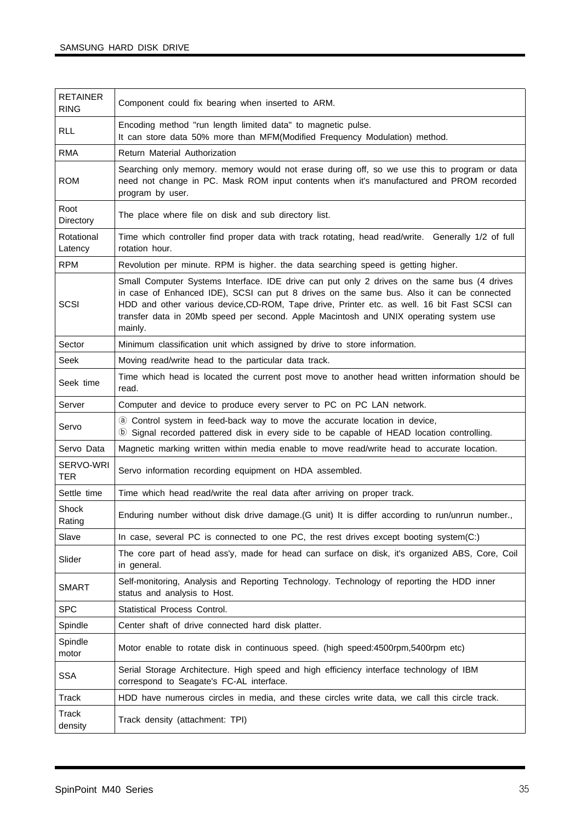| <b>RETAINER</b><br><b>RING</b> | Component could fix bearing when inserted to ARM.                                                                                                                                                                                                                                                                                                                                            |
|--------------------------------|----------------------------------------------------------------------------------------------------------------------------------------------------------------------------------------------------------------------------------------------------------------------------------------------------------------------------------------------------------------------------------------------|
| <b>RLL</b>                     | Encoding method "run length limited data" to magnetic pulse.<br>It can store data 50% more than MFM(Modified Frequency Modulation) method.                                                                                                                                                                                                                                                   |
| <b>RMA</b>                     | Return Material Authorization                                                                                                                                                                                                                                                                                                                                                                |
| <b>ROM</b>                     | Searching only memory. memory would not erase during off, so we use this to program or data<br>need not change in PC. Mask ROM input contents when it's manufactured and PROM recorded<br>program by user.                                                                                                                                                                                   |
| Root<br>Directory              | The place where file on disk and sub directory list.                                                                                                                                                                                                                                                                                                                                         |
| Rotational<br>Latency          | Time which controller find proper data with track rotating, head read/write. Generally 1/2 of full<br>rotation hour.                                                                                                                                                                                                                                                                         |
| <b>RPM</b>                     | Revolution per minute. RPM is higher. the data searching speed is getting higher.                                                                                                                                                                                                                                                                                                            |
| SCSI                           | Small Computer Systems Interface. IDE drive can put only 2 drives on the same bus (4 drives<br>in case of Enhanced IDE), SCSI can put 8 drives on the same bus. Also it can be connected<br>HDD and other various device, CD-ROM, Tape drive, Printer etc. as well. 16 bit Fast SCSI can<br>transfer data in 20Mb speed per second. Apple Macintosh and UNIX operating system use<br>mainly. |
| Sector                         | Minimum classification unit which assigned by drive to store information.                                                                                                                                                                                                                                                                                                                    |
| <b>Seek</b>                    | Moving read/write head to the particular data track.                                                                                                                                                                                                                                                                                                                                         |
| Seek time                      | Time which head is located the current post move to another head written information should be<br>read.                                                                                                                                                                                                                                                                                      |
| Server                         | Computer and device to produce every server to PC on PC LAN network.                                                                                                                                                                                                                                                                                                                         |
| Servo                          | @ Control system in feed-back way to move the accurate location in device,<br><b>(b)</b> Signal recorded pattered disk in every side to be capable of HEAD location controlling.                                                                                                                                                                                                             |
| Servo Data                     | Magnetic marking written within media enable to move read/write head to accurate location.                                                                                                                                                                                                                                                                                                   |
| SERVO-WRI<br><b>TER</b>        | Servo information recording equipment on HDA assembled.                                                                                                                                                                                                                                                                                                                                      |
| Settle time                    | Time which head read/write the real data after arriving on proper track.                                                                                                                                                                                                                                                                                                                     |
| Shock<br>Rating                | Enduring number without disk drive damage. (G unit) It is differ according to run/unrun number.,                                                                                                                                                                                                                                                                                             |
| Slave                          | In case, several PC is connected to one PC, the rest drives except booting system(C:)                                                                                                                                                                                                                                                                                                        |
| Slider                         | The core part of head ass'y, made for head can surface on disk, it's organized ABS, Core, Coil<br>in general.                                                                                                                                                                                                                                                                                |
| <b>SMART</b>                   | Self-monitoring, Analysis and Reporting Technology. Technology of reporting the HDD inner<br>status and analysis to Host.                                                                                                                                                                                                                                                                    |
| <b>SPC</b>                     | Statistical Process Control.                                                                                                                                                                                                                                                                                                                                                                 |
| Spindle                        | Center shaft of drive connected hard disk platter.                                                                                                                                                                                                                                                                                                                                           |
| Spindle<br>motor               | Motor enable to rotate disk in continuous speed. (high speed:4500rpm,5400rpm etc)                                                                                                                                                                                                                                                                                                            |
| <b>SSA</b>                     | Serial Storage Architecture. High speed and high efficiency interface technology of IBM<br>correspond to Seagate's FC-AL interface.                                                                                                                                                                                                                                                          |
| Track                          | HDD have numerous circles in media, and these circles write data, we call this circle track.                                                                                                                                                                                                                                                                                                 |
| Track<br>density               | Track density (attachment: TPI)                                                                                                                                                                                                                                                                                                                                                              |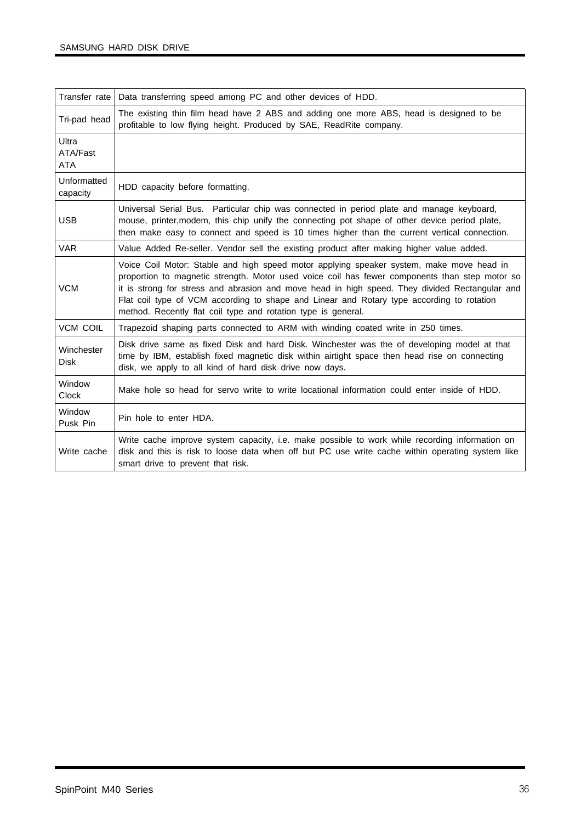| Transfer rate                   | Data transferring speed among PC and other devices of HDD.                                                                                                                                                                                                                                                                                                                                                                                                 |
|---------------------------------|------------------------------------------------------------------------------------------------------------------------------------------------------------------------------------------------------------------------------------------------------------------------------------------------------------------------------------------------------------------------------------------------------------------------------------------------------------|
| Tri-pad head                    | The existing thin film head have 2 ABS and adding one more ABS, head is designed to be<br>profitable to low flying height. Produced by SAE, ReadRite company.                                                                                                                                                                                                                                                                                              |
| Ultra<br>ATA/Fast<br><b>ATA</b> |                                                                                                                                                                                                                                                                                                                                                                                                                                                            |
| Unformatted<br>capacity         | HDD capacity before formatting.                                                                                                                                                                                                                                                                                                                                                                                                                            |
| <b>USB</b>                      | Universal Serial Bus. Particular chip was connected in period plate and manage keyboard,<br>mouse, printer, modem, this chip unify the connecting pot shape of other device period plate,<br>then make easy to connect and speed is 10 times higher than the current vertical connection.                                                                                                                                                                  |
| <b>VAR</b>                      | Value Added Re-seller. Vendor sell the existing product after making higher value added.                                                                                                                                                                                                                                                                                                                                                                   |
| <b>VCM</b>                      | Voice Coil Motor: Stable and high speed motor applying speaker system, make move head in<br>proportion to magnetic strength. Motor used voice coil has fewer components than step motor so<br>it is strong for stress and abrasion and move head in high speed. They divided Rectangular and<br>Flat coil type of VCM according to shape and Linear and Rotary type according to rotation<br>method. Recently flat coil type and rotation type is general. |
| <b>VCM COIL</b>                 | Trapezoid shaping parts connected to ARM with winding coated write in 250 times.                                                                                                                                                                                                                                                                                                                                                                           |
| Winchester<br><b>Disk</b>       | Disk drive same as fixed Disk and hard Disk. Winchester was the of developing model at that<br>time by IBM, establish fixed magnetic disk within airtight space then head rise on connecting<br>disk, we apply to all kind of hard disk drive now days.                                                                                                                                                                                                    |
| Window<br>Clock                 | Make hole so head for servo write to write locational information could enter inside of HDD.                                                                                                                                                                                                                                                                                                                                                               |
| Window<br>Pusk Pin              | Pin hole to enter HDA.                                                                                                                                                                                                                                                                                                                                                                                                                                     |
| Write cache                     | Write cache improve system capacity, i.e. make possible to work while recording information on<br>disk and this is risk to loose data when off but PC use write cache within operating system like<br>smart drive to prevent that risk.                                                                                                                                                                                                                    |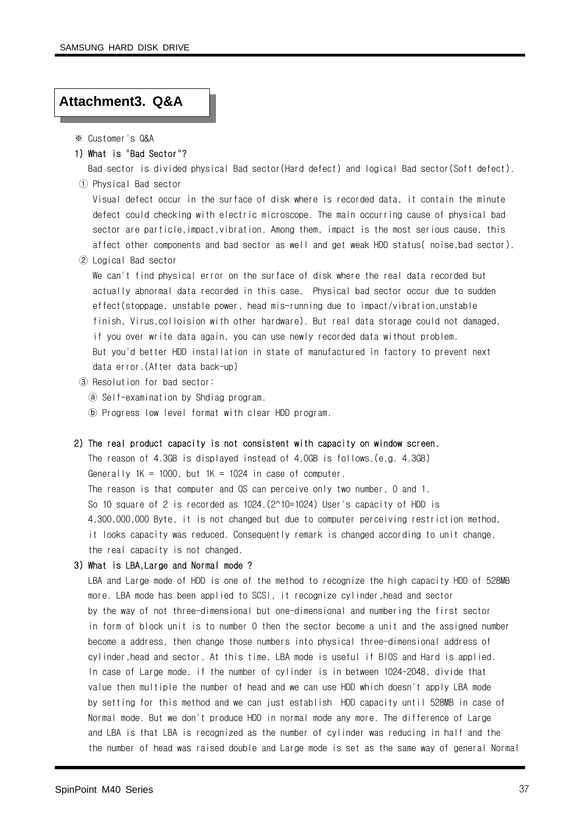#### **Attachment3. Q&A**

- ※ Customer's Q&A
- 1) What is "Bad Sector"?

Bad sector is divided physical Bad sector(Hard defect) and logical Bad sector(Soft defect). ① Physical Bad sector

Visual defect occur in the surface of disk where is recorded data, it contain the minute defect could checking with electric microscope. The main occurring cause of physical bad sector are particle,impact,vibration. Among them, impact is the most serious cause, this affect other components and bad sector as well and get weak HDD status( noise,bad sector).

② Logical Bad sector

We can't find physical error on the surface of disk where the real data recorded but actually abnormal data recorded in this case. Physical bad sector occur due to sudden effect(stoppage, unstable power, head mis-running due to impact/vibration,unstable finish, Virus,colloision with other hardware). But real data storage could not damaged, if you over write data again, you can use newly recorded data without problem. But you'd better HDD installation in state of manufactured in factory to prevent next data error.(After data back-up)

- ③ Resolution for bad sector:
	- ⓐ Self-examination by Shdiag program.
	- ⓑ Progress low level format with clear HDD program.

#### 2) The real product capacity is not consistent with capacity on window screen.

The reason of 4.3GB is displayed instead of 4.0GB is follows.(e.g. 4.3GB) Generally  $1K = 1000$ , but  $1K = 1024$  in case of computer. The reason is that computer and OS can perceive only two number, 0 and 1. So 10 square of 2 is recorded as 1024.(2^10=1024) User's capacity of HDD is 4,300,000,000 Byte, it is not changed but due to computer perceiving restriction method, it looks capacity was reduced. Consequently remark is changed according to unit change, the real capacity is not changed.

#### 3) What is LBA,Large and Normal mode ?

LBA and Large mode of HDD is one of the method to recognize the high capacity HDD of 528MB more. LBA mode has been applied to SCSI, it recognize cylinder,head and sector by the way of not three-dimensional but one-dimensional and numbering the first sector in form of block unit is to number 0 then the sector become a unit and the assigned number become a address, then change those numbers into physical three-dimensional address of cylinder,head and sector. At this time, LBA mode is useful if BIOS and Hard is applied. In case of Large mode, if the number of cylinder is in between 1024~2048, divide that value then multiple the number of head and we can use HDD which doesn't apply LBA mode by setting for this method and we can just establish HDD capacity until 528MB in case of Normal mode. But we don't produce HDD in normal mode any more. The difference of Large and LBA is that LBA is recognized as the number of cylinder was reducing in half and the the number of head was raised double and Large mode is set as the same way of general Normal